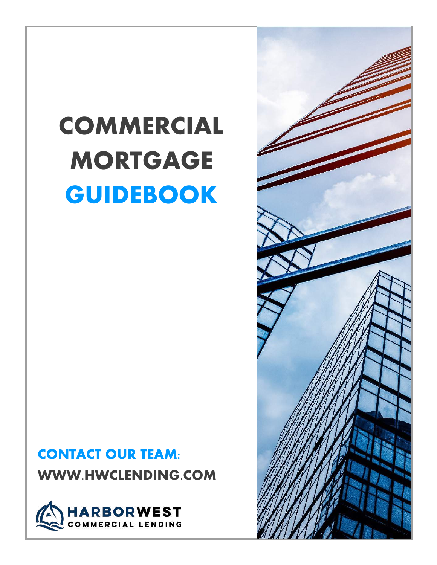# COMMERCIAL MORTGAGE GUIDEBOOK

## CONTACT OUR TEAM: WWW.HWCLENDING.COM



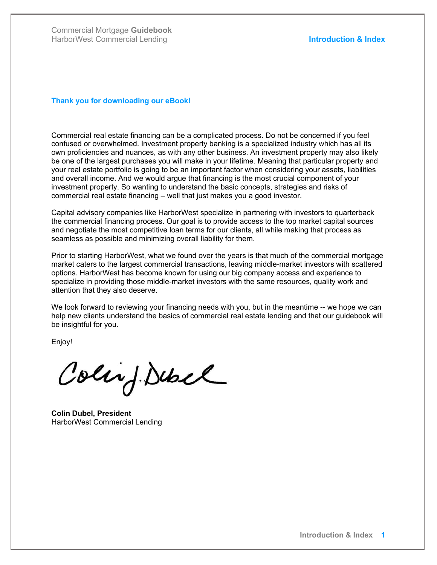#### Thank you for downloading our eBook!

Commercial real estate financing can be a complicated process. Do not be concerned if you feel confused or overwhelmed. Investment property banking is a specialized industry which has all its own proficiencies and nuances, as with any other business. An investment property may also likely be one of the largest purchases you will make in your lifetime. Meaning that particular property and your real estate portfolio is going to be an important factor when considering your assets, liabilities and overall income. And we would argue that financing is the most crucial component of your investment property. So wanting to understand the basic concepts, strategies and risks of commercial real estate financing – well that just makes you a good investor.

Capital advisory companies like HarborWest specialize in partnering with investors to quarterback the commercial financing process. Our goal is to provide access to the top market capital sources and negotiate the most competitive loan terms for our clients, all while making that process as seamless as possible and minimizing overall liability for them.

Prior to starting HarborWest, what we found over the years is that much of the commercial mortgage market caters to the largest commercial transactions, leaving middle-market investors with scattered options. HarborWest has become known for using our big company access and experience to specialize in providing those middle-market investors with the same resources, quality work and attention that they also deserve.

We look forward to reviewing your financing needs with you, but in the meantime -- we hope we can help new clients understand the basics of commercial real estate lending and that our guidebook will be insightful for you.

Enjoy!

Colin J. Dubel

Colin Dubel, President HarborWest Commercial Lending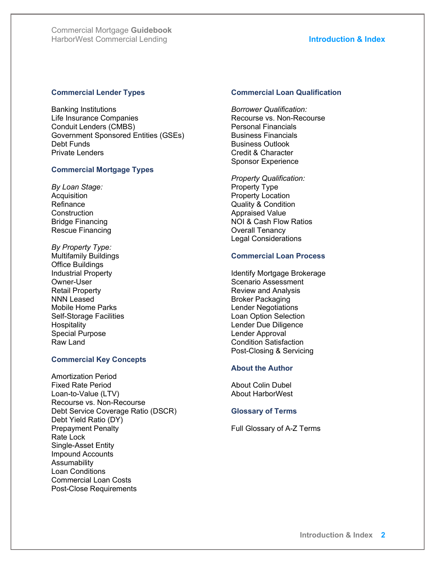#### Commercial Lender Types

Banking Institutions Life Insurance Companies Conduit Lenders (CMBS) Government Sponsored Entities (GSEs) Debt Funds Private Lenders

#### Commercial Mortgage Types

By Loan Stage: **Acquisition** Refinance **Construction** Bridge Financing Rescue Financing

By Property Type: Multifamily Buildings Office Buildings Industrial Property Owner-User Retail Property NNN Leased Mobile Home Parks Self-Storage Facilities **Hospitality** Special Purpose Raw Land

#### Commercial Key Concepts

Amortization Period Fixed Rate Period Loan-to-Value (LTV) Recourse vs. Non-Recourse Debt Service Coverage Ratio (DSCR) Debt Yield Ratio (DY) Prepayment Penalty Rate Lock Single-Asset Entity Impound Accounts Assumability Loan Conditions Commercial Loan Costs Post-Close Requirements

#### Commercial Loan Qualification

Borrower Qualification: Recourse vs. Non-Recourse Personal Financials Business Financials Business Outlook Credit & Character Sponsor Experience

Property Qualification: Property Type Property Location Quality & Condition Appraised Value NOI & Cash Flow Ratios Overall Tenancy Legal Considerations

#### Commercial Loan Process

Identify Mortgage Brokerage Scenario Assessment Review and Analysis Broker Packaging Lender Negotiations Loan Option Selection Lender Due Diligence Lender Approval Condition Satisfaction Post-Closing & Servicing

#### About the Author

About Colin Dubel About HarborWest

#### Glossary of Terms

Full Glossary of A-Z Terms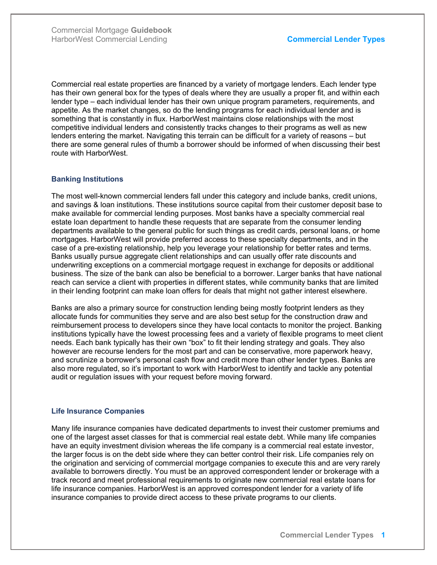Commercial real estate properties are financed by a variety of mortgage lenders. Each lender type has their own general box for the types of deals where they are usually a proper fit, and within each lender type – each individual lender has their own unique program parameters, requirements, and appetite. As the market changes, so do the lending programs for each individual lender and is something that is constantly in flux. HarborWest maintains close relationships with the most competitive individual lenders and consistently tracks changes to their programs as well as new lenders entering the market. Navigating this terrain can be difficult for a variety of reasons – but there are some general rules of thumb a borrower should be informed of when discussing their best route with HarborWest.

### Banking Institutions

The most well-known commercial lenders fall under this category and include banks, credit unions, and savings & loan institutions. These institutions source capital from their customer deposit base to make available for commercial lending purposes. Most banks have a specialty commercial real estate loan department to handle these requests that are separate from the consumer lending departments available to the general public for such things as credit cards, personal loans, or home mortgages. HarborWest will provide preferred access to these specialty departments, and in the case of a pre-existing relationship, help you leverage your relationship for better rates and terms. Banks usually pursue aggregate client relationships and can usually offer rate discounts and underwriting exceptions on a commercial mortgage request in exchange for deposits or additional business. The size of the bank can also be beneficial to a borrower. Larger banks that have national reach can service a client with properties in different states, while community banks that are limited in their lending footprint can make loan offers for deals that might not gather interest elsewhere.

Banks are also a primary source for construction lending being mostly footprint lenders as they allocate funds for communities they serve and are also best setup for the construction draw and reimbursement process to developers since they have local contacts to monitor the project. Banking institutions typically have the lowest processing fees and a variety of flexible programs to meet client needs. Each bank typically has their own "box" to fit their lending strategy and goals. They also however are recourse lenders for the most part and can be conservative, more paperwork heavy, and scrutinize a borrower's personal cash flow and credit more than other lender types. Banks are also more regulated, so it's important to work with HarborWest to identify and tackle any potential audit or regulation issues with your request before moving forward.

### Life Insurance Companies

Many life insurance companies have dedicated departments to invest their customer premiums and one of the largest asset classes for that is commercial real estate debt. While many life companies have an equity investment division whereas the life company is a commercial real estate investor, the larger focus is on the debt side where they can better control their risk. Life companies rely on the origination and servicing of commercial mortgage companies to execute this and are very rarely available to borrowers directly. You must be an approved correspondent lender or brokerage with a track record and meet professional requirements to originate new commercial real estate loans for life insurance companies. HarborWest is an approved correspondent lender for a variety of life insurance companies to provide direct access to these private programs to our clients.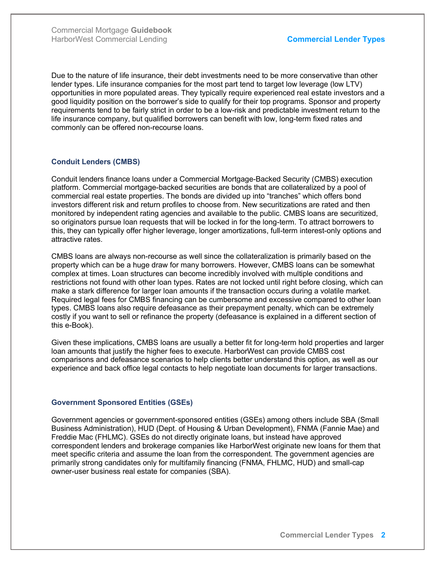Due to the nature of life insurance, their debt investments need to be more conservative than other lender types. Life insurance companies for the most part tend to target low leverage (low LTV) opportunities in more populated areas. They typically require experienced real estate investors and a good liquidity position on the borrower's side to qualify for their top programs. Sponsor and property requirements tend to be fairly strict in order to be a low-risk and predictable investment return to the life insurance company, but qualified borrowers can benefit with low, long-term fixed rates and commonly can be offered non-recourse loans.

### Conduit Lenders (CMBS)

Conduit lenders finance loans under a Commercial Mortgage-Backed Security (CMBS) execution platform. Commercial mortgage-backed securities are bonds that are collateralized by a pool of commercial real estate properties. The bonds are divided up into "tranches" which offers bond investors different risk and return profiles to choose from. New securitizations are rated and then monitored by independent rating agencies and available to the public. CMBS loans are securitized, so originators pursue loan requests that will be locked in for the long-term. To attract borrowers to this, they can typically offer higher leverage, longer amortizations, full-term interest-only options and attractive rates.

CMBS loans are always non-recourse as well since the collateralization is primarily based on the property which can be a huge draw for many borrowers. However, CMBS loans can be somewhat complex at times. Loan structures can become incredibly involved with multiple conditions and restrictions not found with other loan types. Rates are not locked until right before closing, which can make a stark difference for larger loan amounts if the transaction occurs during a volatile market. Required legal fees for CMBS financing can be cumbersome and excessive compared to other loan types. CMBS loans also require defeasance as their prepayment penalty, which can be extremely costly if you want to sell or refinance the property (defeasance is explained in a different section of this e-Book).

Given these implications, CMBS loans are usually a better fit for long-term hold properties and larger loan amounts that justify the higher fees to execute. HarborWest can provide CMBS cost comparisons and defeasance scenarios to help clients better understand this option, as well as our experience and back office legal contacts to help negotiate loan documents for larger transactions.

### Government Sponsored Entities (GSEs)

Government agencies or government-sponsored entities (GSEs) among others include SBA (Small Business Administration), HUD (Dept. of Housing & Urban Development), FNMA (Fannie Mae) and Freddie Mac (FHLMC). GSEs do not directly originate loans, but instead have approved correspondent lenders and brokerage companies like HarborWest originate new loans for them that meet specific criteria and assume the loan from the correspondent. The government agencies are primarily strong candidates only for multifamily financing (FNMA, FHLMC, HUD) and small-cap owner-user business real estate for companies (SBA).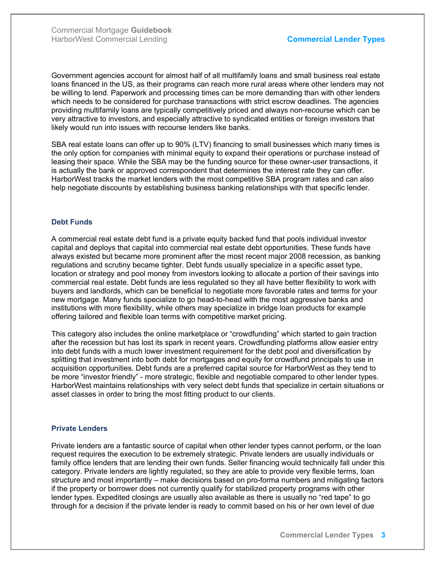Government agencies account for almost half of all multifamily loans and small business real estate loans financed in the US, as their programs can reach more rural areas where other lenders may not be willing to lend. Paperwork and processing times can be more demanding than with other lenders which needs to be considered for purchase transactions with strict escrow deadlines. The agencies providing multifamily loans are typically competitively priced and always non-recourse which can be very attractive to investors, and especially attractive to syndicated entities or foreign investors that likely would run into issues with recourse lenders like banks.

SBA real estate loans can offer up to 90% (LTV) financing to small businesses which many times is the only option for companies with minimal equity to expand their operations or purchase instead of leasing their space. While the SBA may be the funding source for these owner-user transactions, it is actually the bank or approved correspondent that determines the interest rate they can offer. HarborWest tracks the market lenders with the most competitive SBA program rates and can also help negotiate discounts by establishing business banking relationships with that specific lender.

#### Debt Funds

A commercial real estate debt fund is a private equity backed fund that pools individual investor capital and deploys that capital into commercial real estate debt opportunities. These funds have always existed but became more prominent after the most recent major 2008 recession, as banking regulations and scrutiny became tighter. Debt funds usually specialize in a specific asset type, location or strategy and pool money from investors looking to allocate a portion of their savings into commercial real estate. Debt funds are less regulated so they all have better flexibility to work with buyers and landlords, which can be beneficial to negotiate more favorable rates and terms for your new mortgage. Many funds specialize to go head-to-head with the most aggressive banks and institutions with more flexibility, while others may specialize in bridge loan products for example offering tailored and flexible loan terms with competitive market pricing.

This category also includes the online marketplace or "crowdfunding" which started to gain traction after the recession but has lost its spark in recent years. Crowdfunding platforms allow easier entry into debt funds with a much lower investment requirement for the debt pool and diversification by splitting that investment into both debt for mortgages and equity for crowdfund principals to use in acquisition opportunities. Debt funds are a preferred capital source for HarborWest as they tend to be more "investor friendly" - more strategic, flexible and negotiable compared to other lender types. HarborWest maintains relationships with very select debt funds that specialize in certain situations or asset classes in order to bring the most fitting product to our clients.

#### Private Lenders

Private lenders are a fantastic source of capital when other lender types cannot perform, or the loan request requires the execution to be extremely strategic. Private lenders are usually individuals or family office lenders that are lending their own funds. Seller financing would technically fall under this category. Private lenders are lightly regulated, so they are able to provide very flexible terms, loan structure and most importantly – make decisions based on pro-forma numbers and mitigating factors if the property or borrower does not currently qualify for stabilized property programs with other lender types. Expedited closings are usually also available as there is usually no "red tape" to go through for a decision if the private lender is ready to commit based on his or her own level of due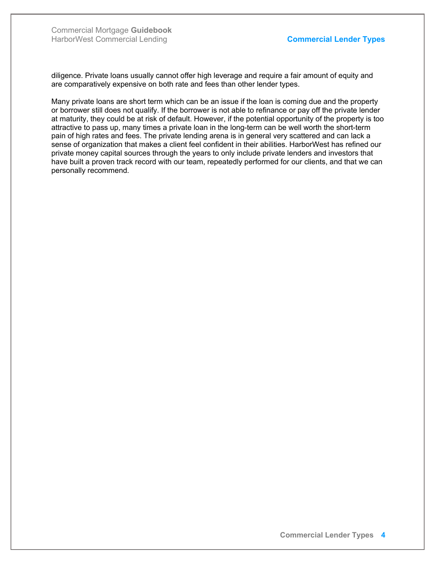diligence. Private loans usually cannot offer high leverage and require a fair amount of equity and are comparatively expensive on both rate and fees than other lender types.

Many private loans are short term which can be an issue if the loan is coming due and the property or borrower still does not qualify. If the borrower is not able to refinance or pay off the private lender at maturity, they could be at risk of default. However, if the potential opportunity of the property is too attractive to pass up, many times a private loan in the long-term can be well worth the short-term pain of high rates and fees. The private lending arena is in general very scattered and can lack a sense of organization that makes a client feel confident in their abilities. HarborWest has refined our private money capital sources through the years to only include private lenders and investors that have built a proven track record with our team, repeatedly performed for our clients, and that we can personally recommend.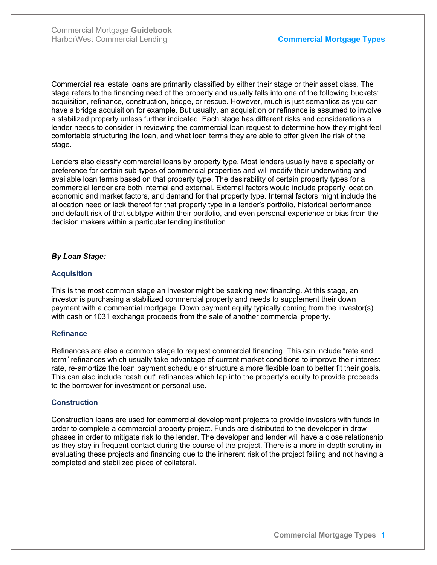Commercial real estate loans are primarily classified by either their stage or their asset class. The stage refers to the financing need of the property and usually falls into one of the following buckets: acquisition, refinance, construction, bridge, or rescue. However, much is just semantics as you can have a bridge acquisition for example. But usually, an acquisition or refinance is assumed to involve a stabilized property unless further indicated. Each stage has different risks and considerations a lender needs to consider in reviewing the commercial loan request to determine how they might feel comfortable structuring the loan, and what loan terms they are able to offer given the risk of the stage.

Lenders also classify commercial loans by property type. Most lenders usually have a specialty or preference for certain sub-types of commercial properties and will modify their underwriting and available loan terms based on that property type. The desirability of certain property types for a commercial lender are both internal and external. External factors would include property location, economic and market factors, and demand for that property type. Internal factors might include the allocation need or lack thereof for that property type in a lender's portfolio, historical performance and default risk of that subtype within their portfolio, and even personal experience or bias from the decision makers within a particular lending institution.

#### By Loan Stage:

#### **Acquisition**

This is the most common stage an investor might be seeking new financing. At this stage, an investor is purchasing a stabilized commercial property and needs to supplement their down payment with a commercial mortgage. Down payment equity typically coming from the investor(s) with cash or 1031 exchange proceeds from the sale of another commercial property.

#### **Refinance**

Refinances are also a common stage to request commercial financing. This can include "rate and term" refinances which usually take advantage of current market conditions to improve their interest rate, re-amortize the loan payment schedule or structure a more flexible loan to better fit their goals. This can also include "cash out" refinances which tap into the property's equity to provide proceeds to the borrower for investment or personal use.

#### **Construction**

Construction loans are used for commercial development projects to provide investors with funds in order to complete a commercial property project. Funds are distributed to the developer in draw phases in order to mitigate risk to the lender. The developer and lender will have a close relationship as they stay in frequent contact during the course of the project. There is a more in-depth scrutiny in evaluating these projects and financing due to the inherent risk of the project failing and not having a completed and stabilized piece of collateral.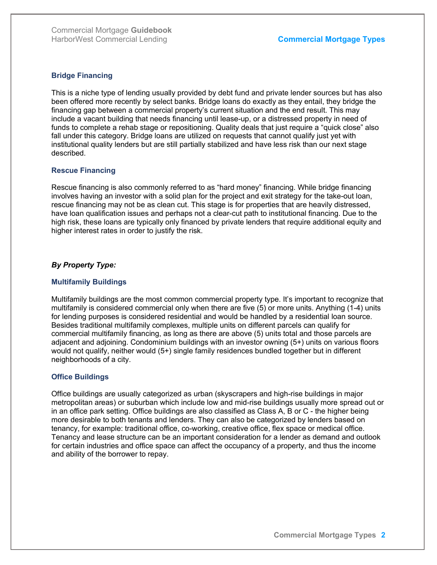#### Bridge Financing

This is a niche type of lending usually provided by debt fund and private lender sources but has also been offered more recently by select banks. Bridge loans do exactly as they entail, they bridge the financing gap between a commercial property's current situation and the end result. This may include a vacant building that needs financing until lease-up, or a distressed property in need of funds to complete a rehab stage or repositioning. Quality deals that just require a "quick close" also fall under this category. Bridge loans are utilized on requests that cannot qualify just yet with institutional quality lenders but are still partially stabilized and have less risk than our next stage described.

#### Rescue Financing

Rescue financing is also commonly referred to as "hard money" financing. While bridge financing involves having an investor with a solid plan for the project and exit strategy for the take-out loan, rescue financing may not be as clean cut. This stage is for properties that are heavily distressed, have loan qualification issues and perhaps not a clear-cut path to institutional financing. Due to the high risk, these loans are typically only financed by private lenders that require additional equity and higher interest rates in order to justify the risk.

### By Property Type:

### Multifamily Buildings

Multifamily buildings are the most common commercial property type. It's important to recognize that multifamily is considered commercial only when there are five (5) or more units. Anything (1-4) units for lending purposes is considered residential and would be handled by a residential loan source. Besides traditional multifamily complexes, multiple units on different parcels can qualify for commercial multifamily financing, as long as there are above (5) units total and those parcels are adjacent and adjoining. Condominium buildings with an investor owning (5+) units on various floors would not qualify, neither would (5+) single family residences bundled together but in different neighborhoods of a city.

### Office Buildings

Office buildings are usually categorized as urban (skyscrapers and high-rise buildings in major metropolitan areas) or suburban which include low and mid-rise buildings usually more spread out or in an office park setting. Office buildings are also classified as Class A, B or C - the higher being more desirable to both tenants and lenders. They can also be categorized by lenders based on tenancy, for example: traditional office, co-working, creative office, flex space or medical office. Tenancy and lease structure can be an important consideration for a lender as demand and outlook for certain industries and office space can affect the occupancy of a property, and thus the income and ability of the borrower to repay.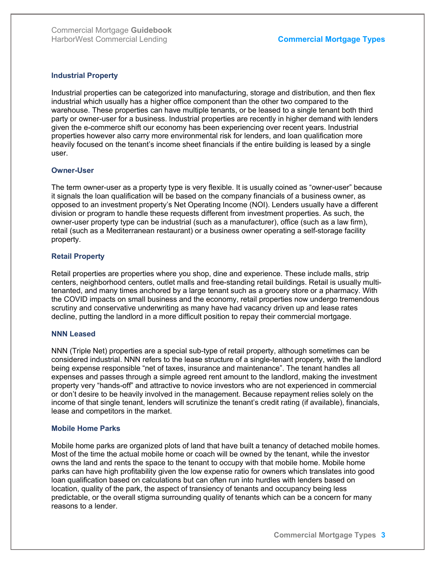#### Industrial Property

Industrial properties can be categorized into manufacturing, storage and distribution, and then flex industrial which usually has a higher office component than the other two compared to the warehouse. These properties can have multiple tenants, or be leased to a single tenant both third party or owner-user for a business. Industrial properties are recently in higher demand with lenders given the e-commerce shift our economy has been experiencing over recent years. Industrial properties however also carry more environmental risk for lenders, and loan qualification more heavily focused on the tenant's income sheet financials if the entire building is leased by a single user.

#### Owner-User

The term owner-user as a property type is very flexible. It is usually coined as "owner-user" because it signals the loan qualification will be based on the company financials of a business owner, as opposed to an investment property's Net Operating Income (NOI). Lenders usually have a different division or program to handle these requests different from investment properties. As such, the owner-user property type can be industrial (such as a manufacturer), office (such as a law firm), retail (such as a Mediterranean restaurant) or a business owner operating a self-storage facility property.

#### Retail Property

Retail properties are properties where you shop, dine and experience. These include malls, strip centers, neighborhood centers, outlet malls and free-standing retail buildings. Retail is usually multitenanted, and many times anchored by a large tenant such as a grocery store or a pharmacy. With the COVID impacts on small business and the economy, retail properties now undergo tremendous scrutiny and conservative underwriting as many have had vacancy driven up and lease rates decline, putting the landlord in a more difficult position to repay their commercial mortgage.

#### NNN Leased

NNN (Triple Net) properties are a special sub-type of retail property, although sometimes can be considered industrial. NNN refers to the lease structure of a single-tenant property, with the landlord being expense responsible "net of taxes, insurance and maintenance". The tenant handles all expenses and passes through a simple agreed rent amount to the landlord, making the investment property very "hands-off" and attractive to novice investors who are not experienced in commercial or don't desire to be heavily involved in the management. Because repayment relies solely on the income of that single tenant, lenders will scrutinize the tenant's credit rating (if available), financials, lease and competitors in the market.

#### Mobile Home Parks

Mobile home parks are organized plots of land that have built a tenancy of detached mobile homes. Most of the time the actual mobile home or coach will be owned by the tenant, while the investor owns the land and rents the space to the tenant to occupy with that mobile home. Mobile home parks can have high profitability given the low expense ratio for owners which translates into good loan qualification based on calculations but can often run into hurdles with lenders based on location, quality of the park, the aspect of transiency of tenants and occupancy being less predictable, or the overall stigma surrounding quality of tenants which can be a concern for many reasons to a lender.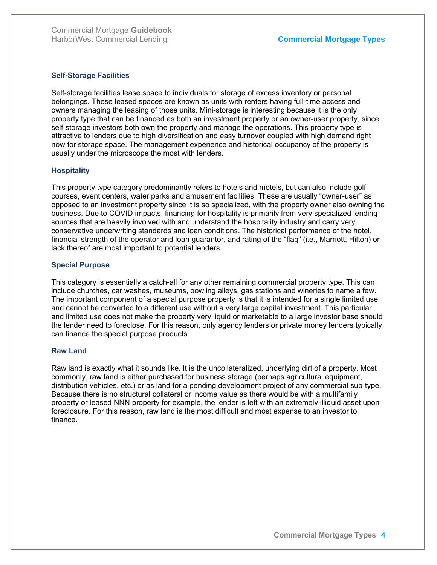#### Self-Storage Facilities

Self-storage facilities lease space to individuals for storage of excess inventory or personal belongings. These leased spaces are known as units with renters having full-time access and owners managing the leasing of those units. Mini-storage is interesting because it is the only property type that can be financed as both an investment property or an owner-user property, since self-storage investors both own the property and manage the operations. This property type is attractive to lenders due to high diversification and easy turnover coupled with high demand right now for storage space. The management experience and historical occupancy of the property is usually under the microscope the most with lenders.

#### **Hospitality**

This property type category predominantly refers to hotels and motels, but can also include golf courses, event centers, water parks and amusement facilities. These are usually "owner-user" as opposed to an investment property since it is so specialized, with the property owner also owning the business. Due to COVID impacts, financing for hospitality is primarily from very specialized lending sources that are heavily involved with and understand the hospitality industry and carry very conservative underwriting standards and loan conditions. The historical performance of the hotel, financial strength of the operator and loan guarantor, and rating of the "flag" (i.e., Marriott, Hilton) or lack thereof are most important to potential lenders.

#### Special Purpose

This category is essentially a catch-all for any other remaining commercial property type. This can include churches, car washes, museums, bowling alleys, gas stations and wineries to name a few. The important component of a special purpose property is that it is intended for a single limited use and cannot be converted to a different use without a very large capital investment. This particular and limited use does not make the property very liquid or marketable to a large investor base should the lender need to foreclose. For this reason, only agency lenders or private money lenders typically can finance the special purpose products.

#### Raw Land

Raw land is exactly what it sounds like. It is the uncollateralized, underlying dirt of a property. Most commonly, raw land is either purchased for business storage (perhaps agricultural equipment, distribution vehicles, etc.) or as land for a pending development project of any commercial sub-type. Because there is no structural collateral or income value as there would be with a multifamily property or leased NNN property for example, the lender is left with an extremely illiquid asset upon foreclosure. For this reason, raw land is the most difficult and most expense to an investor to finance.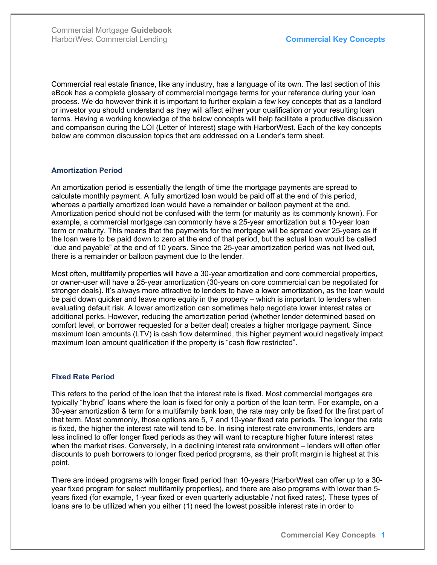Commercial real estate finance, like any industry, has a language of its own. The last section of this eBook has a complete glossary of commercial mortgage terms for your reference during your loan process. We do however think it is important to further explain a few key concepts that as a landlord or investor you should understand as they will affect either your qualification or your resulting loan terms. Having a working knowledge of the below concepts will help facilitate a productive discussion and comparison during the LOI (Letter of Interest) stage with HarborWest. Each of the key concepts below are common discussion topics that are addressed on a Lender's term sheet.

### Amortization Period

An amortization period is essentially the length of time the mortgage payments are spread to calculate monthly payment. A fully amortized loan would be paid off at the end of this period, whereas a partially amortized loan would have a remainder or balloon payment at the end. Amortization period should not be confused with the term (or maturity as its commonly known). For example, a commercial mortgage can commonly have a 25-year amortization but a 10-year loan term or maturity. This means that the payments for the mortgage will be spread over 25-years as if the loan were to be paid down to zero at the end of that period, but the actual loan would be called "due and payable" at the end of 10 years. Since the 25-year amortization period was not lived out, there is a remainder or balloon payment due to the lender.

Most often, multifamily properties will have a 30-year amortization and core commercial properties, or owner-user will have a 25-year amortization (30-years on core commercial can be negotiated for stronger deals). It's always more attractive to lenders to have a lower amortization, as the loan would be paid down quicker and leave more equity in the property – which is important to lenders when evaluating default risk. A lower amortization can sometimes help negotiate lower interest rates or additional perks. However, reducing the amortization period (whether lender determined based on comfort level, or borrower requested for a better deal) creates a higher mortgage payment. Since maximum loan amounts (LTV) is cash flow determined, this higher payment would negatively impact maximum loan amount qualification if the property is "cash flow restricted".

### Fixed Rate Period

This refers to the period of the loan that the interest rate is fixed. Most commercial mortgages are typically "hybrid" loans where the loan is fixed for only a portion of the loan term. For example, on a 30-year amortization & term for a multifamily bank loan, the rate may only be fixed for the first part of that term. Most commonly, those options are 5, 7 and 10-year fixed rate periods. The longer the rate is fixed, the higher the interest rate will tend to be. In rising interest rate environments, lenders are less inclined to offer longer fixed periods as they will want to recapture higher future interest rates when the market rises. Conversely, in a declining interest rate environment – lenders will often offer discounts to push borrowers to longer fixed period programs, as their profit margin is highest at this point.

There are indeed programs with longer fixed period than 10-years (HarborWest can offer up to a 30 year fixed program for select multifamily properties), and there are also programs with lower than 5 years fixed (for example, 1-year fixed or even quarterly adjustable / not fixed rates). These types of loans are to be utilized when you either (1) need the lowest possible interest rate in order to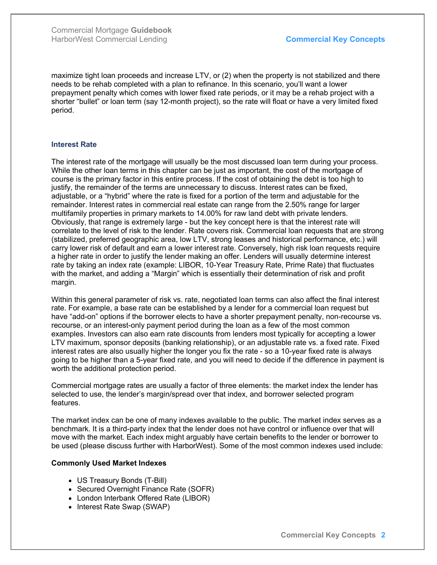maximize tight loan proceeds and increase LTV, or (2) when the property is not stabilized and there needs to be rehab completed with a plan to refinance. In this scenario, you'll want a lower prepayment penalty which comes with lower fixed rate periods, or it may be a rehab project with a shorter "bullet" or loan term (say 12-month project), so the rate will float or have a very limited fixed period.

#### Interest Rate

The interest rate of the mortgage will usually be the most discussed loan term during your process. While the other loan terms in this chapter can be just as important, the cost of the mortgage of course is the primary factor in this entire process. If the cost of obtaining the debt is too high to justify, the remainder of the terms are unnecessary to discuss. Interest rates can be fixed, adjustable, or a "hybrid" where the rate is fixed for a portion of the term and adjustable for the remainder. Interest rates in commercial real estate can range from the 2.50% range for larger multifamily properties in primary markets to 14.00% for raw land debt with private lenders. Obviously, that range is extremely large - but the key concept here is that the interest rate will correlate to the level of risk to the lender. Rate covers risk. Commercial loan requests that are strong (stabilized, preferred geographic area, low LTV, strong leases and historical performance, etc.) will carry lower risk of default and earn a lower interest rate. Conversely, high risk loan requests require a higher rate in order to justify the lender making an offer. Lenders will usually determine interest rate by taking an index rate (example: LIBOR, 10-Year Treasury Rate, Prime Rate) that fluctuates with the market, and adding a "Margin" which is essentially their determination of risk and profit margin.

Within this general parameter of risk vs. rate, negotiated loan terms can also affect the final interest rate. For example, a base rate can be established by a lender for a commercial loan request but have "add-on" options if the borrower elects to have a shorter prepayment penalty, non-recourse vs. recourse, or an interest-only payment period during the loan as a few of the most common examples. Investors can also earn rate discounts from lenders most typically for accepting a lower LTV maximum, sponsor deposits (banking relationship), or an adjustable rate vs. a fixed rate. Fixed interest rates are also usually higher the longer you fix the rate - so a 10-year fixed rate is always going to be higher than a 5-year fixed rate, and you will need to decide if the difference in payment is worth the additional protection period.

Commercial mortgage rates are usually a factor of three elements: the market index the lender has selected to use, the lender's margin/spread over that index, and borrower selected program features.

The market index can be one of many indexes available to the public. The market index serves as a benchmark. It is a third-party index that the lender does not have control or influence over that will move with the market. Each index might arguably have certain benefits to the lender or borrower to be used (please discuss further with HarborWest). Some of the most common indexes used include:

#### Commonly Used Market Indexes

- US Treasury Bonds (T-Bill)
- Secured Overnight Finance Rate (SOFR)
- London Interbank Offered Rate (LIBOR)
- Interest Rate Swap (SWAP)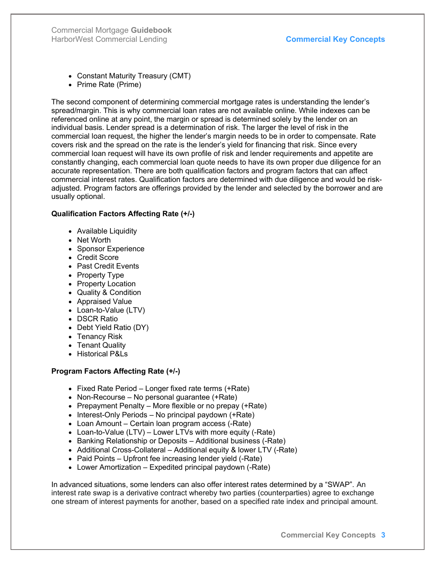Commercial Mortgage Guidebook HarborWest Commercial Lending **Commercial Commercial Key Concepts** 

- Constant Maturity Treasury (CMT)
- Prime Rate (Prime)

The second component of determining commercial mortgage rates is understanding the lender's spread/margin. This is why commercial loan rates are not available online. While indexes can be referenced online at any point, the margin or spread is determined solely by the lender on an individual basis. Lender spread is a determination of risk. The larger the level of risk in the commercial loan request, the higher the lender's margin needs to be in order to compensate. Rate covers risk and the spread on the rate is the lender's yield for financing that risk. Since every commercial loan request will have its own profile of risk and lender requirements and appetite are constantly changing, each commercial loan quote needs to have its own proper due diligence for an accurate representation. There are both qualification factors and program factors that can affect commercial interest rates. Qualification factors are determined with due diligence and would be riskadjusted. Program factors are offerings provided by the lender and selected by the borrower and are usually optional.

### Qualification Factors Affecting Rate (+/-)

- Available Liquidity
- Net Worth
- Sponsor Experience
- Credit Score
- Past Credit Events
- Property Type
- Property Location
- Quality & Condition
- Appraised Value
- Loan-to-Value (LTV)
- DSCR Ratio
- Debt Yield Ratio (DY)
- Tenancy Risk
- Tenant Quality
- Historical P&Ls

### Program Factors Affecting Rate (+/-)

- Fixed Rate Period Longer fixed rate terms (+Rate)
- Non-Recourse No personal quarantee (+Rate)
- Prepayment Penalty More flexible or no prepay (+Rate)
- $\bullet$  Interest-Only Periods No principal paydown (+Rate)
- Loan Amount Certain loan program access (-Rate)
- Loan-to-Value (LTV) Lower LTVs with more equity (-Rate)
- Banking Relationship or Deposits Additional business (-Rate)
- Additional Cross-Collateral Additional equity & lower LTV (-Rate)
- Paid Points Upfront fee increasing lender yield (-Rate)
- Lower Amortization Expedited principal paydown (-Rate)

In advanced situations, some lenders can also offer interest rates determined by a "SWAP". An interest rate swap is a derivative contract whereby two parties (counterparties) agree to exchange one stream of interest payments for another, based on a specified rate index and principal amount.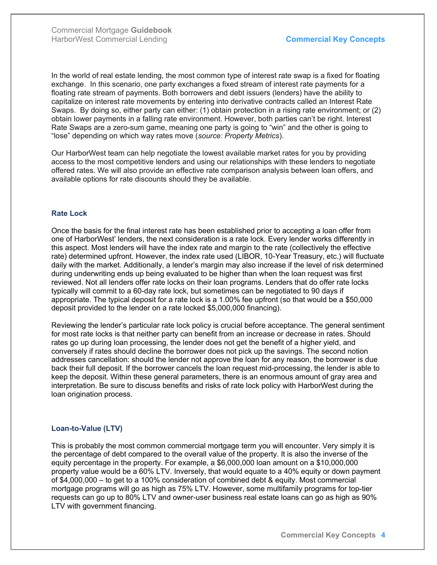In the world of real estate lending, the most common type of interest rate swap is a fixed for floating exchange. In this scenario, one party exchanges a fixed stream of interest rate payments for a floating rate stream of payments. Both borrowers and debt issuers (lenders) have the ability to capitalize on interest rate movements by entering into derivative contracts called an Interest Rate Swaps. By doing so, either party can either: (1) obtain protection in a rising rate environment; or (2) obtain lower payments in a falling rate environment. However, both parties can't be right. Interest Rate Swaps are a zero-sum game, meaning one party is going to "win" and the other is going to "lose" depending on which way rates move (source: Property Metrics).

Our HarborWest team can help negotiate the lowest available market rates for you by providing access to the most competitive lenders and using our relationships with these lenders to negotiate offered rates. We will also provide an effective rate comparison analysis between loan offers, and available options for rate discounts should they be available.

#### Rate Lock

Once the basis for the final interest rate has been established prior to accepting a loan offer from one of HarborWest' lenders, the next consideration is a rate lock. Every lender works differently in this aspect. Most lenders will have the index rate and margin to the rate (collectively the effective rate) determined upfront. However, the index rate used (LIBOR, 10-Year Treasury, etc.) will fluctuate daily with the market. Additionally, a lender's margin may also increase if the level of risk determined during underwriting ends up being evaluated to be higher than when the loan request was first reviewed. Not all lenders offer rate locks on their loan programs. Lenders that do offer rate locks typically will commit to a 60-day rate lock, but sometimes can be negotiated to 90 days if appropriate. The typical deposit for a rate lock is a 1.00% fee upfront (so that would be a \$50,000 deposit provided to the lender on a rate locked \$5,000,000 financing).

Reviewing the lender's particular rate lock policy is crucial before acceptance. The general sentiment for most rate locks is that neither party can benefit from an increase or decrease in rates. Should rates go up during loan processing, the lender does not get the benefit of a higher yield, and conversely if rates should decline the borrower does not pick up the savings. The second notion addresses cancellation: should the lender not approve the loan for any reason, the borrower is due back their full deposit. If the borrower cancels the loan request mid-processing, the lender is able to keep the deposit. Within these general parameters, there is an enormous amount of gray area and interpretation. Be sure to discuss benefits and risks of rate lock policy with HarborWest during the loan origination process.

### Loan-to-Value (LTV)

This is probably the most common commercial mortgage term you will encounter. Very simply it is the percentage of debt compared to the overall value of the property. It is also the inverse of the equity percentage in the property. For example, a \$6,000,000 loan amount on a \$10,000,000 property value would be a 60% LTV. Inversely, that would equate to a 40% equity or down payment of \$4,000,000 – to get to a 100% consideration of combined debt & equity. Most commercial mortgage programs will go as high as 75% LTV. However, some multifamily programs for top-tier requests can go up to 80% LTV and owner-user business real estate loans can go as high as 90% LTV with government financing.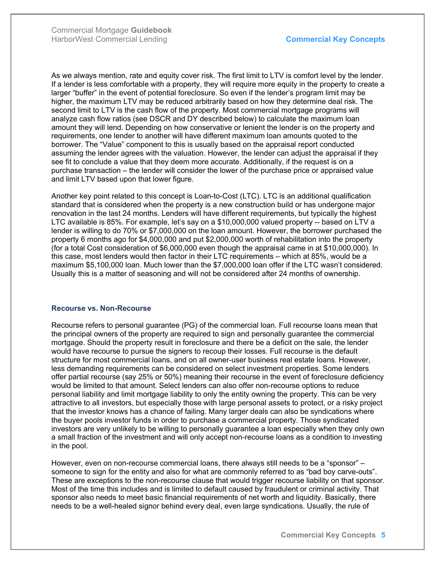As we always mention, rate and equity cover risk. The first limit to LTV is comfort level by the lender. If a lender is less comfortable with a property, they will require more equity in the property to create a larger "buffer" in the event of potential foreclosure. So even if the lender's program limit may be higher, the maximum LTV may be reduced arbitrarily based on how they determine deal risk. The second limit to LTV is the cash flow of the property. Most commercial mortgage programs will analyze cash flow ratios (see DSCR and DY described below) to calculate the maximum loan amount they will lend. Depending on how conservative or lenient the lender is on the property and requirements, one lender to another will have different maximum loan amounts quoted to the borrower. The "Value" component to this is usually based on the appraisal report conducted assuming the lender agrees with the valuation. However, the lender can adjust the appraisal if they see fit to conclude a value that they deem more accurate. Additionally, if the request is on a purchase transaction – the lender will consider the lower of the purchase price or appraised value and limit LTV based upon that lower figure.

Another key point related to this concept is Loan-to-Cost (LTC). LTC is an additional qualification standard that is considered when the property is a new construction build or has undergone major renovation in the last 24 months. Lenders will have different requirements, but typically the highest LTC available is 85%. For example, let's say on a \$10,000,000 valued property -- based on LTV a lender is willing to do 70% or \$7,000,000 on the loan amount. However, the borrower purchased the property 6 months ago for \$4,000,000 and put \$2,000,000 worth of rehabilitation into the property (for a total Cost consideration of \$6,000,000 even though the appraisal came in at \$10,000,000). In this case, most lenders would then factor in their LTC requirements – which at 85%, would be a maximum \$5,100,000 loan. Much lower than the \$7,000,000 loan offer if the LTC wasn't considered. Usually this is a matter of seasoning and will not be considered after 24 months of ownership.

#### Recourse vs. Non-Recourse

Recourse refers to personal guarantee (PG) of the commercial loan. Full recourse loans mean that the principal owners of the property are required to sign and personally guarantee the commercial mortgage. Should the property result in foreclosure and there be a deficit on the sale, the lender would have recourse to pursue the signers to recoup their losses. Full recourse is the default structure for most commercial loans, and on all owner-user business real estate loans. However, less demanding requirements can be considered on select investment properties. Some lenders offer partial recourse (say 25% or 50%) meaning their recourse in the event of foreclosure deficiency would be limited to that amount. Select lenders can also offer non-recourse options to reduce personal liability and limit mortgage liability to only the entity owning the property. This can be very attractive to all investors, but especially those with large personal assets to protect, or a risky project that the investor knows has a chance of failing. Many larger deals can also be syndications where the buyer pools investor funds in order to purchase a commercial property. Those syndicated investors are very unlikely to be willing to personally guarantee a loan especially when they only own a small fraction of the investment and will only accept non-recourse loans as a condition to investing in the pool.

However, even on non-recourse commercial loans, there always still needs to be a "sponsor" – someone to sign for the entity and also for what are commonly referred to as "bad boy carve-outs". These are exceptions to the non-recourse clause that would trigger recourse liability on that sponsor. Most of the time this includes and is limited to default caused by fraudulent or criminal activity. That sponsor also needs to meet basic financial requirements of net worth and liquidity. Basically, there needs to be a well-healed signor behind every deal, even large syndications. Usually, the rule of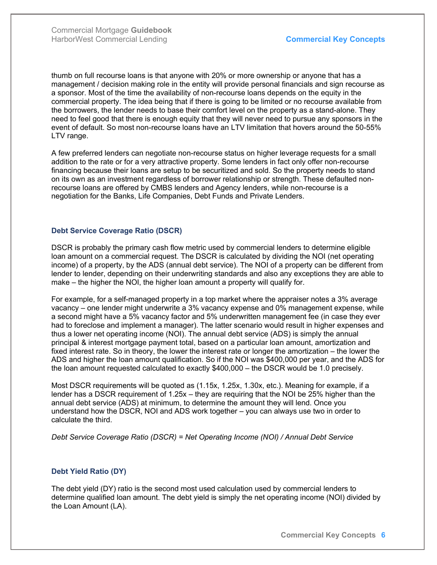thumb on full recourse loans is that anyone with 20% or more ownership or anyone that has a management / decision making role in the entity will provide personal financials and sign recourse as a sponsor. Most of the time the availability of non-recourse loans depends on the equity in the commercial property. The idea being that if there is going to be limited or no recourse available from the borrowers, the lender needs to base their comfort level on the property as a stand-alone. They need to feel good that there is enough equity that they will never need to pursue any sponsors in the event of default. So most non-recourse loans have an LTV limitation that hovers around the 50-55% LTV range.

A few preferred lenders can negotiate non-recourse status on higher leverage requests for a small addition to the rate or for a very attractive property. Some lenders in fact only offer non-recourse financing because their loans are setup to be securitized and sold. So the property needs to stand on its own as an investment regardless of borrower relationship or strength. These defaulted nonrecourse loans are offered by CMBS lenders and Agency lenders, while non-recourse is a negotiation for the Banks, Life Companies, Debt Funds and Private Lenders.

#### Debt Service Coverage Ratio (DSCR)

DSCR is probably the primary cash flow metric used by commercial lenders to determine eligible loan amount on a commercial request. The DSCR is calculated by dividing the NOI (net operating income) of a property, by the ADS (annual debt service). The NOI of a property can be different from lender to lender, depending on their underwriting standards and also any exceptions they are able to make – the higher the NOI, the higher loan amount a property will qualify for.

For example, for a self-managed property in a top market where the appraiser notes a 3% average vacancy – one lender might underwrite a 3% vacancy expense and 0% management expense, while a second might have a 5% vacancy factor and 5% underwritten management fee (in case they ever had to foreclose and implement a manager). The latter scenario would result in higher expenses and thus a lower net operating income (NOI). The annual debt service (ADS) is simply the annual principal & interest mortgage payment total, based on a particular loan amount, amortization and fixed interest rate. So in theory, the lower the interest rate or longer the amortization – the lower the ADS and higher the loan amount qualification. So if the NOI was \$400,000 per year, and the ADS for the loan amount requested calculated to exactly \$400,000 – the DSCR would be 1.0 precisely.

Most DSCR requirements will be quoted as (1.15x, 1.25x, 1.30x, etc.). Meaning for example, if a lender has a DSCR requirement of 1.25x – they are requiring that the NOI be 25% higher than the annual debt service (ADS) at minimum, to determine the amount they will lend. Once you understand how the DSCR, NOI and ADS work together – you can always use two in order to calculate the third.

Debt Service Coverage Ratio (DSCR) = Net Operating Income (NOI) / Annual Debt Service

### Debt Yield Ratio (DY)

The debt yield (DY) ratio is the second most used calculation used by commercial lenders to determine qualified loan amount. The debt yield is simply the net operating income (NOI) divided by the Loan Amount (LA).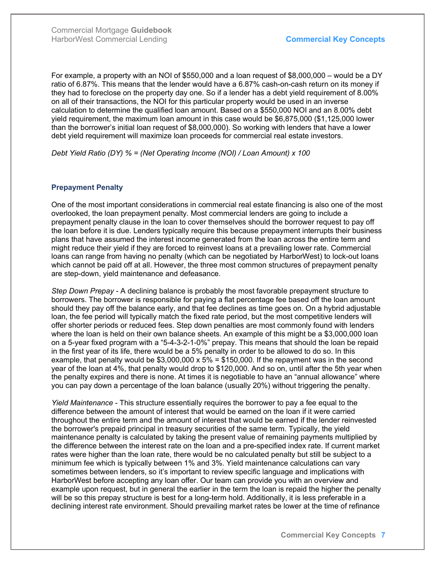For example, a property with an NOI of \$550,000 and a loan request of \$8,000,000 – would be a DY ratio of 6.87%. This means that the lender would have a 6.87% cash-on-cash return on its money if they had to foreclose on the property day one. So if a lender has a debt yield requirement of 8.00% on all of their transactions, the NOI for this particular property would be used in an inverse calculation to determine the qualified loan amount. Based on a \$550,000 NOI and an 8.00% debt yield requirement, the maximum loan amount in this case would be \$6,875,000 (\$1,125,000 lower than the borrower's initial loan request of \$8,000,000). So working with lenders that have a lower debt yield requirement will maximize loan proceeds for commercial real estate investors.

Debt Yield Ratio (DY) % = (Net Operating Income (NOI) / Loan Amount) x 100

#### Prepayment Penalty

One of the most important considerations in commercial real estate financing is also one of the most overlooked, the loan prepayment penalty. Most commercial lenders are going to include a prepayment penalty clause in the loan to cover themselves should the borrower request to pay off the loan before it is due. Lenders typically require this because prepayment interrupts their business plans that have assumed the interest income generated from the loan across the entire term and might reduce their yield if they are forced to reinvest loans at a prevailing lower rate. Commercial loans can range from having no penalty (which can be negotiated by HarborWest) to lock-out loans which cannot be paid off at all. However, the three most common structures of prepayment penalty are step-down, yield maintenance and defeasance.

Step Down Prepay - A declining balance is probably the most favorable prepayment structure to borrowers. The borrower is responsible for paying a flat percentage fee based off the loan amount should they pay off the balance early, and that fee declines as time goes on. On a hybrid adjustable loan, the fee period will typically match the fixed rate period, but the most competitive lenders will offer shorter periods or reduced fees. Step down penalties are most commonly found with lenders where the loan is held on their own balance sheets. An example of this might be a \$3,000,000 loan on a 5-year fixed program with a "5-4-3-2-1-0%" prepay. This means that should the loan be repaid in the first year of its life, there would be a 5% penalty in order to be allowed to do so. In this example, that penalty would be  $$3,000,000 \times 5\% = $150,000$ . If the repayment was in the second year of the loan at 4%, that penalty would drop to \$120,000. And so on, until after the 5th year when the penalty expires and there is none. At times it is negotiable to have an "annual allowance" where you can pay down a percentage of the loan balance (usually 20%) without triggering the penalty.

Yield Maintenance - This structure essentially requires the borrower to pay a fee equal to the difference between the amount of interest that would be earned on the loan if it were carried throughout the entire term and the amount of interest that would be earned if the lender reinvested the borrower's prepaid principal in treasury securities of the same term. Typically, the yield maintenance penalty is calculated by taking the present value of remaining payments multiplied by the difference between the interest rate on the loan and a pre-specified index rate. If current market rates were higher than the loan rate, there would be no calculated penalty but still be subject to a minimum fee which is typically between 1% and 3%. Yield maintenance calculations can vary sometimes between lenders, so it's important to review specific language and implications with HarborWest before accepting any loan offer. Our team can provide you with an overview and example upon request, but in general the earlier in the term the loan is repaid the higher the penalty will be so this prepay structure is best for a long-term hold. Additionally, it is less preferable in a declining interest rate environment. Should prevailing market rates be lower at the time of refinance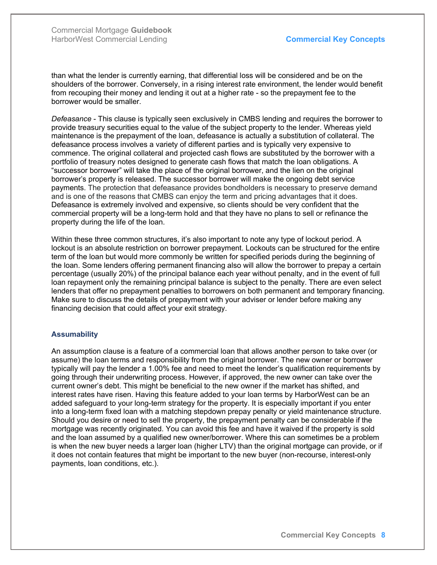than what the lender is currently earning, that differential loss will be considered and be on the shoulders of the borrower. Conversely, in a rising interest rate environment, the lender would benefit from recouping their money and lending it out at a higher rate - so the prepayment fee to the borrower would be smaller.

Defeasance - This clause is typically seen exclusively in CMBS lending and requires the borrower to provide treasury securities equal to the value of the subject property to the lender. Whereas yield maintenance is the prepayment of the loan, defeasance is actually a substitution of collateral. The defeasance process involves a variety of different parties and is typically very expensive to commence. The original collateral and projected cash flows are substituted by the borrower with a portfolio of treasury notes designed to generate cash flows that match the loan obligations. A "successor borrower" will take the place of the original borrower, and the lien on the original borrower's property is released. The successor borrower will make the ongoing debt service payments. The protection that defeasance provides bondholders is necessary to preserve demand and is one of the reasons that CMBS can enjoy the term and pricing advantages that it does. Defeasance is extremely involved and expensive, so clients should be very confident that the commercial property will be a long-term hold and that they have no plans to sell or refinance the property during the life of the loan.

Within these three common structures, it's also important to note any type of lockout period. A lockout is an absolute restriction on borrower prepayment. Lockouts can be structured for the entire term of the loan but would more commonly be written for specified periods during the beginning of the loan. Some lenders offering permanent financing also will allow the borrower to prepay a certain percentage (usually 20%) of the principal balance each year without penalty, and in the event of full loan repayment only the remaining principal balance is subject to the penalty. There are even select lenders that offer no prepayment penalties to borrowers on both permanent and temporary financing. Make sure to discuss the details of prepayment with your adviser or lender before making any financing decision that could affect your exit strategy.

#### **Assumability**

An assumption clause is a feature of a commercial loan that allows another person to take over (or assume) the loan terms and responsibility from the original borrower. The new owner or borrower typically will pay the lender a 1.00% fee and need to meet the lender's qualification requirements by going through their underwriting process. However, if approved, the new owner can take over the current owner's debt. This might be beneficial to the new owner if the market has shifted, and interest rates have risen. Having this feature added to your loan terms by HarborWest can be an added safeguard to your long-term strategy for the property. It is especially important if you enter into a long-term fixed loan with a matching stepdown prepay penalty or yield maintenance structure. Should you desire or need to sell the property, the prepayment penalty can be considerable if the mortgage was recently originated. You can avoid this fee and have it waived if the property is sold and the loan assumed by a qualified new owner/borrower. Where this can sometimes be a problem is when the new buyer needs a larger loan (higher LTV) than the original mortgage can provide, or if it does not contain features that might be important to the new buyer (non-recourse, interest-only payments, loan conditions, etc.).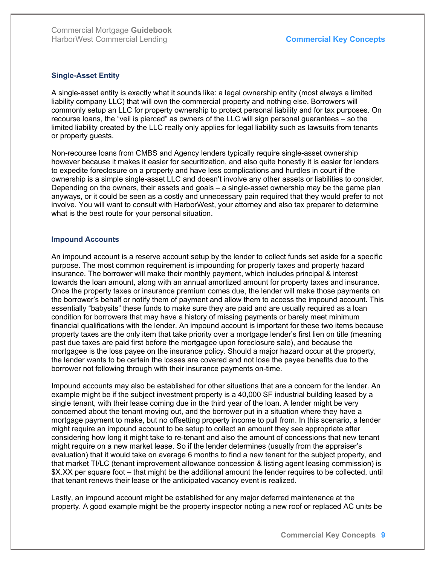#### Single-Asset Entity

A single-asset entity is exactly what it sounds like: a legal ownership entity (most always a limited liability company LLC) that will own the commercial property and nothing else. Borrowers will commonly setup an LLC for property ownership to protect personal liability and for tax purposes. On recourse loans, the "veil is pierced" as owners of the LLC will sign personal guarantees – so the limited liability created by the LLC really only applies for legal liability such as lawsuits from tenants or property guests.

Non-recourse loans from CMBS and Agency lenders typically require single-asset ownership however because it makes it easier for securitization, and also quite honestly it is easier for lenders to expedite foreclosure on a property and have less complications and hurdles in court if the ownership is a simple single-asset LLC and doesn't involve any other assets or liabilities to consider. Depending on the owners, their assets and goals – a single-asset ownership may be the game plan anyways, or it could be seen as a costly and unnecessary pain required that they would prefer to not involve. You will want to consult with HarborWest, your attorney and also tax preparer to determine what is the best route for your personal situation.

#### Impound Accounts

An impound account is a reserve account setup by the lender to collect funds set aside for a specific purpose. The most common requirement is impounding for property taxes and property hazard insurance. The borrower will make their monthly payment, which includes principal & interest towards the loan amount, along with an annual amortized amount for property taxes and insurance. Once the property taxes or insurance premium comes due, the lender will make those payments on the borrower's behalf or notify them of payment and allow them to access the impound account. This essentially "babysits" these funds to make sure they are paid and are usually required as a loan condition for borrowers that may have a history of missing payments or barely meet minimum financial qualifications with the lender. An impound account is important for these two items because property taxes are the only item that take priority over a mortgage lender's first lien on title (meaning past due taxes are paid first before the mortgagee upon foreclosure sale), and because the mortgagee is the loss payee on the insurance policy. Should a major hazard occur at the property, the lender wants to be certain the losses are covered and not lose the payee benefits due to the borrower not following through with their insurance payments on-time.

Impound accounts may also be established for other situations that are a concern for the lender. An example might be if the subject investment property is a 40,000 SF industrial building leased by a single tenant, with their lease coming due in the third year of the loan. A lender might be very concerned about the tenant moving out, and the borrower put in a situation where they have a mortgage payment to make, but no offsetting property income to pull from. In this scenario, a lender might require an impound account to be setup to collect an amount they see appropriate after considering how long it might take to re-tenant and also the amount of concessions that new tenant might require on a new market lease. So if the lender determines (usually from the appraiser's evaluation) that it would take on average 6 months to find a new tenant for the subject property, and that market TI/LC (tenant improvement allowance concession & listing agent leasing commission) is \$X.XX per square foot – that might be the additional amount the lender requires to be collected, until that tenant renews their lease or the anticipated vacancy event is realized.

Lastly, an impound account might be established for any major deferred maintenance at the property. A good example might be the property inspector noting a new roof or replaced AC units be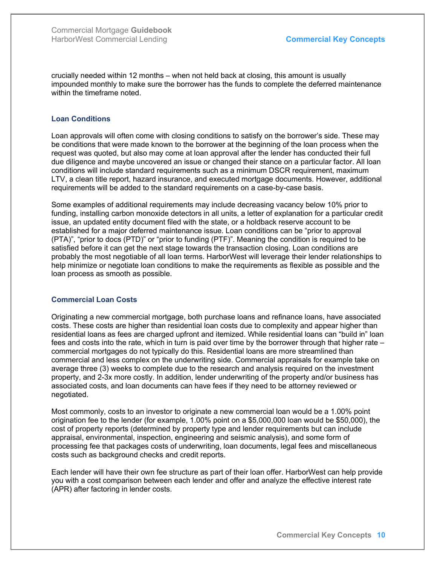crucially needed within 12 months – when not held back at closing, this amount is usually impounded monthly to make sure the borrower has the funds to complete the deferred maintenance within the timeframe noted.

#### Loan Conditions

Loan approvals will often come with closing conditions to satisfy on the borrower's side. These may be conditions that were made known to the borrower at the beginning of the loan process when the request was quoted, but also may come at loan approval after the lender has conducted their full due diligence and maybe uncovered an issue or changed their stance on a particular factor. All loan conditions will include standard requirements such as a minimum DSCR requirement, maximum LTV, a clean title report, hazard insurance, and executed mortgage documents. However, additional requirements will be added to the standard requirements on a case-by-case basis.

Some examples of additional requirements may include decreasing vacancy below 10% prior to funding, installing carbon monoxide detectors in all units, a letter of explanation for a particular credit issue, an updated entity document filed with the state, or a holdback reserve account to be established for a major deferred maintenance issue. Loan conditions can be "prior to approval (PTA)", "prior to docs (PTD)" or "prior to funding (PTF)". Meaning the condition is required to be satisfied before it can get the next stage towards the transaction closing. Loan conditions are probably the most negotiable of all loan terms. HarborWest will leverage their lender relationships to help minimize or negotiate loan conditions to make the requirements as flexible as possible and the loan process as smooth as possible.

#### Commercial Loan Costs

Originating a new commercial mortgage, both purchase loans and refinance loans, have associated costs. These costs are higher than residential loan costs due to complexity and appear higher than residential loans as fees are charged upfront and itemized. While residential loans can "build in" loan fees and costs into the rate, which in turn is paid over time by the borrower through that higher rate – commercial mortgages do not typically do this. Residential loans are more streamlined than commercial and less complex on the underwriting side. Commercial appraisals for example take on average three (3) weeks to complete due to the research and analysis required on the investment property, and 2-3x more costly. In addition, lender underwriting of the property and/or business has associated costs, and loan documents can have fees if they need to be attorney reviewed or negotiated.

Most commonly, costs to an investor to originate a new commercial loan would be a 1.00% point origination fee to the lender (for example, 1.00% point on a \$5,000,000 loan would be \$50,000), the cost of property reports (determined by property type and lender requirements but can include appraisal, environmental, inspection, engineering and seismic analysis), and some form of processing fee that packages costs of underwriting, loan documents, legal fees and miscellaneous costs such as background checks and credit reports.

Each lender will have their own fee structure as part of their loan offer. HarborWest can help provide you with a cost comparison between each lender and offer and analyze the effective interest rate (APR) after factoring in lender costs.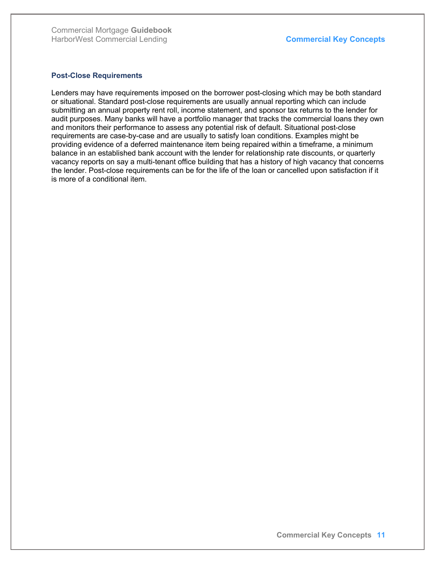#### Post-Close Requirements

Lenders may have requirements imposed on the borrower post-closing which may be both standard or situational. Standard post-close requirements are usually annual reporting which can include submitting an annual property rent roll, income statement, and sponsor tax returns to the lender for audit purposes. Many banks will have a portfolio manager that tracks the commercial loans they own and monitors their performance to assess any potential risk of default. Situational post-close requirements are case-by-case and are usually to satisfy loan conditions. Examples might be providing evidence of a deferred maintenance item being repaired within a timeframe, a minimum balance in an established bank account with the lender for relationship rate discounts, or quarterly vacancy reports on say a multi-tenant office building that has a history of high vacancy that concerns the lender. Post-close requirements can be for the life of the loan or cancelled upon satisfaction if it is more of a conditional item.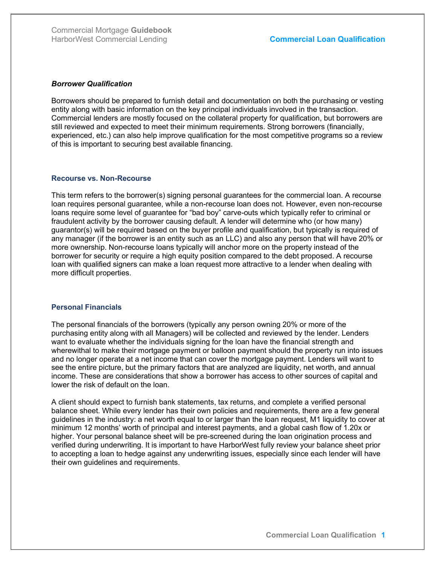#### Borrower Qualification

Borrowers should be prepared to furnish detail and documentation on both the purchasing or vesting entity along with basic information on the key principal individuals involved in the transaction. Commercial lenders are mostly focused on the collateral property for qualification, but borrowers are still reviewed and expected to meet their minimum requirements. Strong borrowers (financially, experienced, etc.) can also help improve qualification for the most competitive programs so a review of this is important to securing best available financing.

#### Recourse vs. Non-Recourse

This term refers to the borrower(s) signing personal guarantees for the commercial loan. A recourse loan requires personal guarantee, while a non-recourse loan does not. However, even non-recourse loans require some level of guarantee for "bad boy" carve-outs which typically refer to criminal or fraudulent activity by the borrower causing default. A lender will determine who (or how many) guarantor(s) will be required based on the buyer profile and qualification, but typically is required of any manager (if the borrower is an entity such as an LLC) and also any person that will have 20% or more ownership. Non-recourse loans typically will anchor more on the property instead of the borrower for security or require a high equity position compared to the debt proposed. A recourse loan with qualified signers can make a loan request more attractive to a lender when dealing with more difficult properties.

#### Personal Financials

The personal financials of the borrowers (typically any person owning 20% or more of the purchasing entity along with all Managers) will be collected and reviewed by the lender. Lenders want to evaluate whether the individuals signing for the loan have the financial strength and wherewithal to make their mortgage payment or balloon payment should the property run into issues and no longer operate at a net income that can cover the mortgage payment. Lenders will want to see the entire picture, but the primary factors that are analyzed are liquidity, net worth, and annual income. These are considerations that show a borrower has access to other sources of capital and lower the risk of default on the loan.

A client should expect to furnish bank statements, tax returns, and complete a verified personal balance sheet. While every lender has their own policies and requirements, there are a few general guidelines in the industry: a net worth equal to or larger than the loan request, M1 liquidity to cover at minimum 12 months' worth of principal and interest payments, and a global cash flow of 1.20x or higher. Your personal balance sheet will be pre-screened during the loan origination process and verified during underwriting. It is important to have HarborWest fully review your balance sheet prior to accepting a loan to hedge against any underwriting issues, especially since each lender will have their own guidelines and requirements.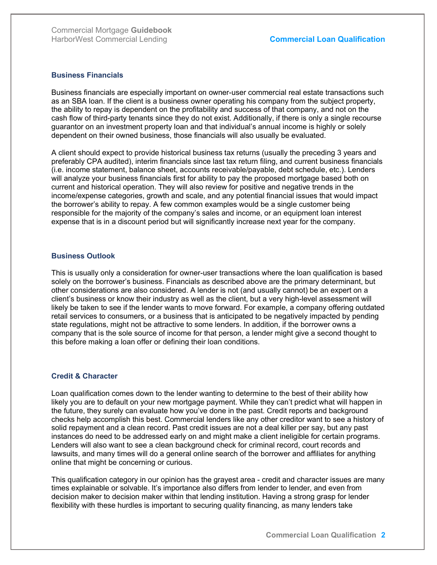#### Business Financials

Business financials are especially important on owner-user commercial real estate transactions such as an SBA loan. If the client is a business owner operating his company from the subject property, the ability to repay is dependent on the profitability and success of that company, and not on the cash flow of third-party tenants since they do not exist. Additionally, if there is only a single recourse guarantor on an investment property loan and that individual's annual income is highly or solely dependent on their owned business, those financials will also usually be evaluated.

A client should expect to provide historical business tax returns (usually the preceding 3 years and preferably CPA audited), interim financials since last tax return filing, and current business financials (i.e. income statement, balance sheet, accounts receivable/payable, debt schedule, etc.). Lenders will analyze your business financials first for ability to pay the proposed mortgage based both on current and historical operation. They will also review for positive and negative trends in the income/expense categories, growth and scale, and any potential financial issues that would impact the borrower's ability to repay. A few common examples would be a single customer being responsible for the majority of the company's sales and income, or an equipment loan interest expense that is in a discount period but will significantly increase next year for the company.

#### Business Outlook

This is usually only a consideration for owner-user transactions where the loan qualification is based solely on the borrower's business. Financials as described above are the primary determinant, but other considerations are also considered. A lender is not (and usually cannot) be an expert on a client's business or know their industry as well as the client, but a very high-level assessment will likely be taken to see if the lender wants to move forward. For example, a company offering outdated retail services to consumers, or a business that is anticipated to be negatively impacted by pending state regulations, might not be attractive to some lenders. In addition, if the borrower owns a company that is the sole source of income for that person, a lender might give a second thought to this before making a loan offer or defining their loan conditions.

### Credit & Character

Loan qualification comes down to the lender wanting to determine to the best of their ability how likely you are to default on your new mortgage payment. While they can't predict what will happen in the future, they surely can evaluate how you've done in the past. Credit reports and background checks help accomplish this best. Commercial lenders like any other creditor want to see a history of solid repayment and a clean record. Past credit issues are not a deal killer per say, but any past instances do need to be addressed early on and might make a client ineligible for certain programs. Lenders will also want to see a clean background check for criminal record, court records and lawsuits, and many times will do a general online search of the borrower and affiliates for anything online that might be concerning or curious.

This qualification category in our opinion has the grayest area - credit and character issues are many times explainable or solvable. It's importance also differs from lender to lender, and even from decision maker to decision maker within that lending institution. Having a strong grasp for lender flexibility with these hurdles is important to securing quality financing, as many lenders take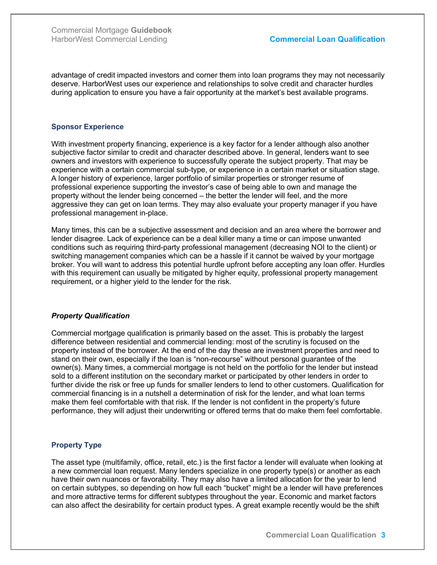advantage of credit impacted investors and corner them into loan programs they may not necessarily deserve. HarborWest uses our experience and relationships to solve credit and character hurdles during application to ensure you have a fair opportunity at the market's best available programs.

#### Sponsor Experience

With investment property financing, experience is a key factor for a lender although also another subjective factor similar to credit and character described above. In general, lenders want to see owners and investors with experience to successfully operate the subject property. That may be experience with a certain commercial sub-type, or experience in a certain market or situation stage. A longer history of experience, larger portfolio of similar properties or stronger resume of professional experience supporting the investor's case of being able to own and manage the property without the lender being concerned – the better the lender will feel, and the more aggressive they can get on loan terms. They may also evaluate your property manager if you have professional management in-place.

Many times, this can be a subjective assessment and decision and an area where the borrower and lender disagree. Lack of experience can be a deal killer many a time or can impose unwanted conditions such as requiring third-party professional management (decreasing NOI to the client) or switching management companies which can be a hassle if it cannot be waived by your mortgage broker. You will want to address this potential hurdle upfront before accepting any loan offer. Hurdles with this requirement can usually be mitigated by higher equity, professional property management requirement, or a higher yield to the lender for the risk.

### Property Qualification

Commercial mortgage qualification is primarily based on the asset. This is probably the largest difference between residential and commercial lending: most of the scrutiny is focused on the property instead of the borrower. At the end of the day these are investment properties and need to stand on their own, especially if the loan is "non-recourse" without personal guarantee of the owner(s). Many times, a commercial mortgage is not held on the portfolio for the lender but instead sold to a different institution on the secondary market or participated by other lenders in order to further divide the risk or free up funds for smaller lenders to lend to other customers. Qualification for commercial financing is in a nutshell a determination of risk for the lender, and what loan terms make them feel comfortable with that risk. If the lender is not confident in the property's future performance, they will adjust their underwriting or offered terms that do make them feel comfortable.

### Property Type

The asset type (multifamily, office, retail, etc.) is the first factor a lender will evaluate when looking at a new commercial loan request. Many lenders specialize in one property type(s) or another as each have their own nuances or favorability. They may also have a limited allocation for the year to lend on certain subtypes, so depending on how full each "bucket" might be a lender will have preferences and more attractive terms for different subtypes throughout the year. Economic and market factors can also affect the desirability for certain product types. A great example recently would be the shift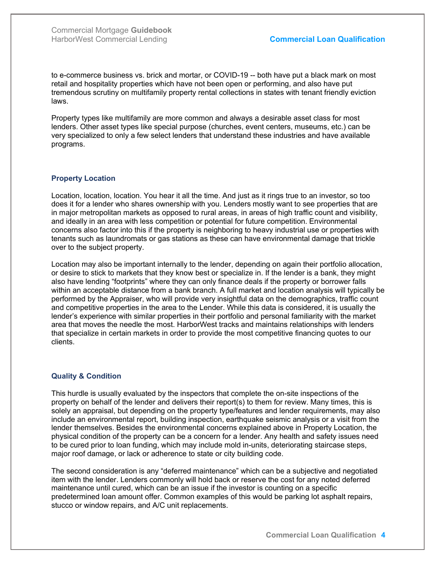to e-commerce business vs. brick and mortar, or COVID-19 -- both have put a black mark on most retail and hospitality properties which have not been open or performing, and also have put tremendous scrutiny on multifamily property rental collections in states with tenant friendly eviction laws.

Property types like multifamily are more common and always a desirable asset class for most lenders. Other asset types like special purpose (churches, event centers, museums, etc.) can be very specialized to only a few select lenders that understand these industries and have available programs.

### Property Location

Location, location, location. You hear it all the time. And just as it rings true to an investor, so too does it for a lender who shares ownership with you. Lenders mostly want to see properties that are in major metropolitan markets as opposed to rural areas, in areas of high traffic count and visibility, and ideally in an area with less competition or potential for future competition. Environmental concerns also factor into this if the property is neighboring to heavy industrial use or properties with tenants such as laundromats or gas stations as these can have environmental damage that trickle over to the subject property.

Location may also be important internally to the lender, depending on again their portfolio allocation, or desire to stick to markets that they know best or specialize in. If the lender is a bank, they might also have lending "footprints" where they can only finance deals if the property or borrower falls within an acceptable distance from a bank branch. A full market and location analysis will typically be performed by the Appraiser, who will provide very insightful data on the demographics, traffic count and competitive properties in the area to the Lender. While this data is considered, it is usually the lender's experience with similar properties in their portfolio and personal familiarity with the market area that moves the needle the most. HarborWest tracks and maintains relationships with lenders that specialize in certain markets in order to provide the most competitive financing quotes to our clients.

### Quality & Condition

This hurdle is usually evaluated by the inspectors that complete the on-site inspections of the property on behalf of the lender and delivers their report(s) to them for review. Many times, this is solely an appraisal, but depending on the property type/features and lender requirements, may also include an environmental report, building inspection, earthquake seismic analysis or a visit from the lender themselves. Besides the environmental concerns explained above in Property Location, the physical condition of the property can be a concern for a lender. Any health and safety issues need to be cured prior to loan funding, which may include mold in-units, deteriorating staircase steps, major roof damage, or lack or adherence to state or city building code.

The second consideration is any "deferred maintenance" which can be a subjective and negotiated item with the lender. Lenders commonly will hold back or reserve the cost for any noted deferred maintenance until cured, which can be an issue if the investor is counting on a specific predetermined loan amount offer. Common examples of this would be parking lot asphalt repairs, stucco or window repairs, and A/C unit replacements.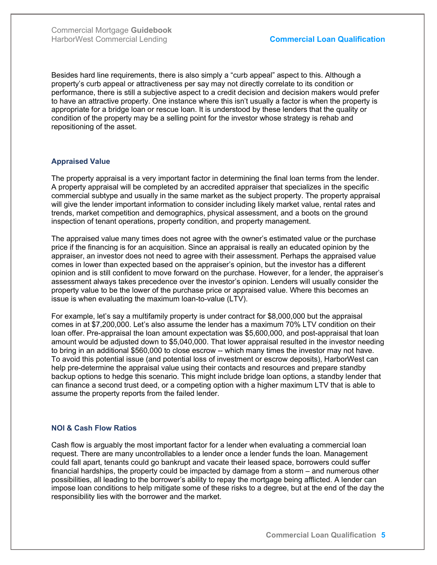Besides hard line requirements, there is also simply a "curb appeal" aspect to this. Although a property's curb appeal or attractiveness per say may not directly correlate to its condition or performance, there is still a subjective aspect to a credit decision and decision makers would prefer to have an attractive property. One instance where this isn't usually a factor is when the property is appropriate for a bridge loan or rescue loan. It is understood by these lenders that the quality or condition of the property may be a selling point for the investor whose strategy is rehab and repositioning of the asset.

### Appraised Value

The property appraisal is a very important factor in determining the final loan terms from the lender. A property appraisal will be completed by an accredited appraiser that specializes in the specific commercial subtype and usually in the same market as the subject property. The property appraisal will give the lender important information to consider including likely market value, rental rates and trends, market competition and demographics, physical assessment, and a boots on the ground inspection of tenant operations, property condition, and property management.

The appraised value many times does not agree with the owner's estimated value or the purchase price if the financing is for an acquisition. Since an appraisal is really an educated opinion by the appraiser, an investor does not need to agree with their assessment. Perhaps the appraised value comes in lower than expected based on the appraiser's opinion, but the investor has a different opinion and is still confident to move forward on the purchase. However, for a lender, the appraiser's assessment always takes precedence over the investor's opinion. Lenders will usually consider the property value to be the lower of the purchase price or appraised value. Where this becomes an issue is when evaluating the maximum loan-to-value (LTV).

For example, let's say a multifamily property is under contract for \$8,000,000 but the appraisal comes in at \$7,200,000. Let's also assume the lender has a maximum 70% LTV condition on their loan offer. Pre-appraisal the loan amount expectation was \$5,600,000, and post-appraisal that loan amount would be adjusted down to \$5,040,000. That lower appraisal resulted in the investor needing to bring in an additional \$560,000 to close escrow -- which many times the investor may not have. To avoid this potential issue (and potential loss of investment or escrow deposits), HarborWest can help pre-determine the appraisal value using their contacts and resources and prepare standby backup options to hedge this scenario. This might include bridge loan options, a standby lender that can finance a second trust deed, or a competing option with a higher maximum LTV that is able to assume the property reports from the failed lender.

### NOI & Cash Flow Ratios

Cash flow is arguably the most important factor for a lender when evaluating a commercial loan request. There are many uncontrollables to a lender once a lender funds the loan. Management could fall apart, tenants could go bankrupt and vacate their leased space, borrowers could suffer financial hardships, the property could be impacted by damage from a storm – and numerous other possibilities, all leading to the borrower's ability to repay the mortgage being afflicted. A lender can impose loan conditions to help mitigate some of these risks to a degree, but at the end of the day the responsibility lies with the borrower and the market.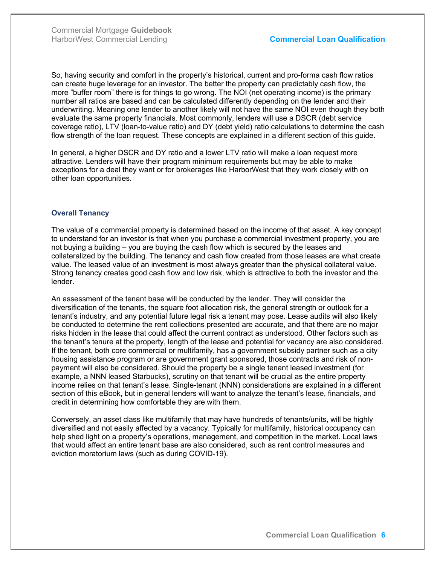So, having security and comfort in the property's historical, current and pro-forma cash flow ratios can create huge leverage for an investor. The better the property can predictably cash flow, the more "buffer room" there is for things to go wrong. The NOI (net operating income) is the primary number all ratios are based and can be calculated differently depending on the lender and their underwriting. Meaning one lender to another likely will not have the same NOI even though they both evaluate the same property financials. Most commonly, lenders will use a DSCR (debt service coverage ratio), LTV (loan-to-value ratio) and DY (debt yield) ratio calculations to determine the cash flow strength of the loan request. These concepts are explained in a different section of this guide.

In general, a higher DSCR and DY ratio and a lower LTV ratio will make a loan request more attractive. Lenders will have their program minimum requirements but may be able to make exceptions for a deal they want or for brokerages like HarborWest that they work closely with on other loan opportunities.

#### Overall Tenancy

The value of a commercial property is determined based on the income of that asset. A key concept to understand for an investor is that when you purchase a commercial investment property, you are not buying a building – you are buying the cash flow which is secured by the leases and collateralized by the building. The tenancy and cash flow created from those leases are what create value. The leased value of an investment is most always greater than the physical collateral value. Strong tenancy creates good cash flow and low risk, which is attractive to both the investor and the lender.

An assessment of the tenant base will be conducted by the lender. They will consider the diversification of the tenants, the square foot allocation risk, the general strength or outlook for a tenant's industry, and any potential future legal risk a tenant may pose. Lease audits will also likely be conducted to determine the rent collections presented are accurate, and that there are no major risks hidden in the lease that could affect the current contract as understood. Other factors such as the tenant's tenure at the property, length of the lease and potential for vacancy are also considered. If the tenant, both core commercial or multifamily, has a government subsidy partner such as a city housing assistance program or are government grant sponsored, those contracts and risk of nonpayment will also be considered. Should the property be a single tenant leased investment (for example, a NNN leased Starbucks), scrutiny on that tenant will be crucial as the entire property income relies on that tenant's lease. Single-tenant (NNN) considerations are explained in a different section of this eBook, but in general lenders will want to analyze the tenant's lease, financials, and credit in determining how comfortable they are with them.

Conversely, an asset class like multifamily that may have hundreds of tenants/units, will be highly diversified and not easily affected by a vacancy. Typically for multifamily, historical occupancy can help shed light on a property's operations, management, and competition in the market. Local laws that would affect an entire tenant base are also considered, such as rent control measures and eviction moratorium laws (such as during COVID-19).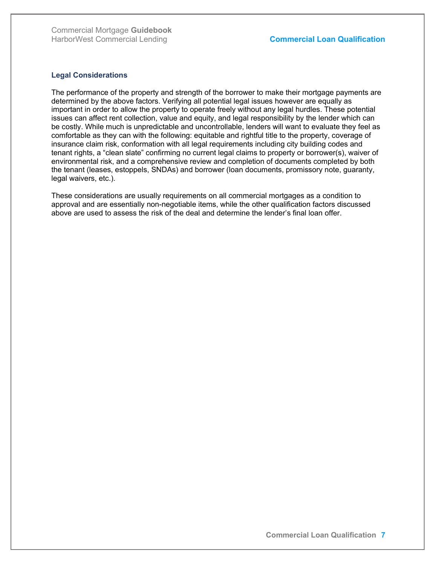#### Legal Considerations

The performance of the property and strength of the borrower to make their mortgage payments are determined by the above factors. Verifying all potential legal issues however are equally as important in order to allow the property to operate freely without any legal hurdles. These potential issues can affect rent collection, value and equity, and legal responsibility by the lender which can be costly. While much is unpredictable and uncontrollable, lenders will want to evaluate they feel as comfortable as they can with the following: equitable and rightful title to the property, coverage of insurance claim risk, conformation with all legal requirements including city building codes and tenant rights, a "clean slate" confirming no current legal claims to property or borrower(s), waiver of environmental risk, and a comprehensive review and completion of documents completed by both the tenant (leases, estoppels, SNDAs) and borrower (loan documents, promissory note, guaranty, legal waivers, etc.).

These considerations are usually requirements on all commercial mortgages as a condition to approval and are essentially non-negotiable items, while the other qualification factors discussed above are used to assess the risk of the deal and determine the lender's final loan offer.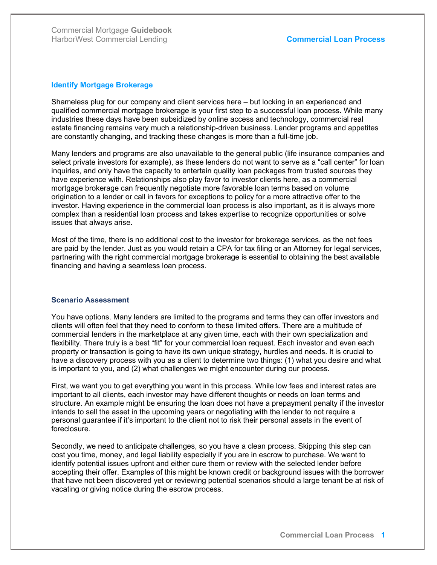#### Identify Mortgage Brokerage

Shameless plug for our company and client services here – but locking in an experienced and qualified commercial mortgage brokerage is your first step to a successful loan process. While many industries these days have been subsidized by online access and technology, commercial real estate financing remains very much a relationship-driven business. Lender programs and appetites are constantly changing, and tracking these changes is more than a full-time job.

Many lenders and programs are also unavailable to the general public (life insurance companies and select private investors for example), as these lenders do not want to serve as a "call center" for loan inquiries, and only have the capacity to entertain quality loan packages from trusted sources they have experience with. Relationships also play favor to investor clients here, as a commercial mortgage brokerage can frequently negotiate more favorable loan terms based on volume origination to a lender or call in favors for exceptions to policy for a more attractive offer to the investor. Having experience in the commercial loan process is also important, as it is always more complex than a residential loan process and takes expertise to recognize opportunities or solve issues that always arise.

Most of the time, there is no additional cost to the investor for brokerage services, as the net fees are paid by the lender. Just as you would retain a CPA for tax filing or an Attorney for legal services, partnering with the right commercial mortgage brokerage is essential to obtaining the best available financing and having a seamless loan process.

#### Scenario Assessment

You have options. Many lenders are limited to the programs and terms they can offer investors and clients will often feel that they need to conform to these limited offers. There are a multitude of commercial lenders in the marketplace at any given time, each with their own specialization and flexibility. There truly is a best "fit" for your commercial loan request. Each investor and even each property or transaction is going to have its own unique strategy, hurdles and needs. It is crucial to have a discovery process with you as a client to determine two things: (1) what you desire and what is important to you, and (2) what challenges we might encounter during our process.

First, we want you to get everything you want in this process. While low fees and interest rates are important to all clients, each investor may have different thoughts or needs on loan terms and structure. An example might be ensuring the loan does not have a prepayment penalty if the investor intends to sell the asset in the upcoming years or negotiating with the lender to not require a personal guarantee if it's important to the client not to risk their personal assets in the event of foreclosure.

Secondly, we need to anticipate challenges, so you have a clean process. Skipping this step can cost you time, money, and legal liability especially if you are in escrow to purchase. We want to identify potential issues upfront and either cure them or review with the selected lender before accepting their offer. Examples of this might be known credit or background issues with the borrower that have not been discovered yet or reviewing potential scenarios should a large tenant be at risk of vacating or giving notice during the escrow process.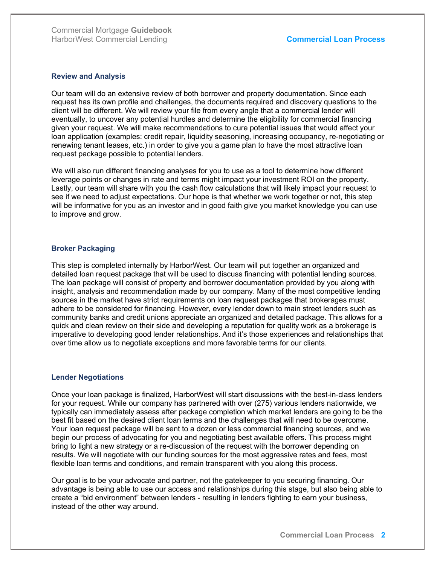#### Review and Analysis

Our team will do an extensive review of both borrower and property documentation. Since each request has its own profile and challenges, the documents required and discovery questions to the client will be different. We will review your file from every angle that a commercial lender will eventually, to uncover any potential hurdles and determine the eligibility for commercial financing given your request. We will make recommendations to cure potential issues that would affect your loan application (examples: credit repair, liquidity seasoning, increasing occupancy, re-negotiating or renewing tenant leases, etc.) in order to give you a game plan to have the most attractive loan request package possible to potential lenders.

We will also run different financing analyses for you to use as a tool to determine how different leverage points or changes in rate and terms might impact your investment ROI on the property. Lastly, our team will share with you the cash flow calculations that will likely impact your request to see if we need to adjust expectations. Our hope is that whether we work together or not, this step will be informative for you as an investor and in good faith give you market knowledge you can use to improve and grow.

#### Broker Packaging

This step is completed internally by HarborWest. Our team will put together an organized and detailed loan request package that will be used to discuss financing with potential lending sources. The loan package will consist of property and borrower documentation provided by you along with insight, analysis and recommendation made by our company. Many of the most competitive lending sources in the market have strict requirements on loan request packages that brokerages must adhere to be considered for financing. However, every lender down to main street lenders such as community banks and credit unions appreciate an organized and detailed package. This allows for a quick and clean review on their side and developing a reputation for quality work as a brokerage is imperative to developing good lender relationships. And it's those experiences and relationships that over time allow us to negotiate exceptions and more favorable terms for our clients.

#### Lender Negotiations

Once your loan package is finalized, HarborWest will start discussions with the best-in-class lenders for your request. While our company has partnered with over (275) various lenders nationwide, we typically can immediately assess after package completion which market lenders are going to be the best fit based on the desired client loan terms and the challenges that will need to be overcome. Your loan request package will be sent to a dozen or less commercial financing sources, and we begin our process of advocating for you and negotiating best available offers. This process might bring to light a new strategy or a re-discussion of the request with the borrower depending on results. We will negotiate with our funding sources for the most aggressive rates and fees, most flexible loan terms and conditions, and remain transparent with you along this process.

Our goal is to be your advocate and partner, not the gatekeeper to you securing financing. Our advantage is being able to use our access and relationships during this stage, but also being able to create a "bid environment" between lenders - resulting in lenders fighting to earn your business, instead of the other way around.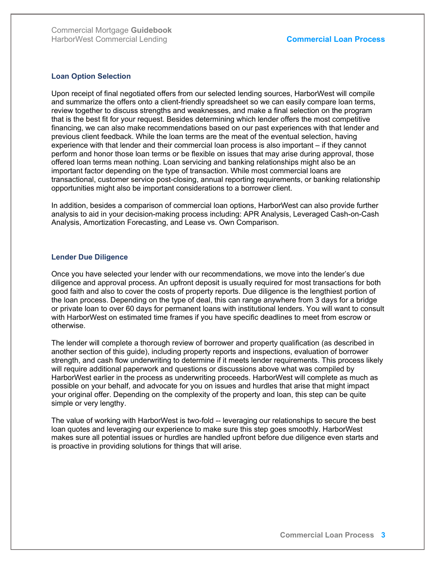#### Loan Option Selection

Upon receipt of final negotiated offers from our selected lending sources, HarborWest will compile and summarize the offers onto a client-friendly spreadsheet so we can easily compare loan terms, review together to discuss strengths and weaknesses, and make a final selection on the program that is the best fit for your request. Besides determining which lender offers the most competitive financing, we can also make recommendations based on our past experiences with that lender and previous client feedback. While the loan terms are the meat of the eventual selection, having experience with that lender and their commercial loan process is also important – if they cannot perform and honor those loan terms or be flexible on issues that may arise during approval, those offered loan terms mean nothing. Loan servicing and banking relationships might also be an important factor depending on the type of transaction. While most commercial loans are transactional, customer service post-closing, annual reporting requirements, or banking relationship opportunities might also be important considerations to a borrower client.

In addition, besides a comparison of commercial loan options, HarborWest can also provide further analysis to aid in your decision-making process including: APR Analysis, Leveraged Cash-on-Cash Analysis, Amortization Forecasting, and Lease vs. Own Comparison.

#### Lender Due Diligence

Once you have selected your lender with our recommendations, we move into the lender's due diligence and approval process. An upfront deposit is usually required for most transactions for both good faith and also to cover the costs of property reports. Due diligence is the lengthiest portion of the loan process. Depending on the type of deal, this can range anywhere from 3 days for a bridge or private loan to over 60 days for permanent loans with institutional lenders. You will want to consult with HarborWest on estimated time frames if you have specific deadlines to meet from escrow or otherwise.

The lender will complete a thorough review of borrower and property qualification (as described in another section of this guide), including property reports and inspections, evaluation of borrower strength, and cash flow underwriting to determine if it meets lender requirements. This process likely will require additional paperwork and questions or discussions above what was compiled by HarborWest earlier in the process as underwriting proceeds. HarborWest will complete as much as possible on your behalf, and advocate for you on issues and hurdles that arise that might impact your original offer. Depending on the complexity of the property and loan, this step can be quite simple or very lengthy.

The value of working with HarborWest is two-fold -- leveraging our relationships to secure the best loan quotes and leveraging our experience to make sure this step goes smoothly. HarborWest makes sure all potential issues or hurdles are handled upfront before due diligence even starts and is proactive in providing solutions for things that will arise.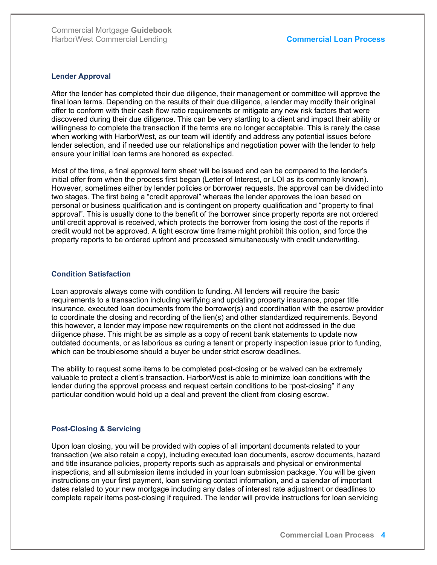#### Lender Approval

After the lender has completed their due diligence, their management or committee will approve the final loan terms. Depending on the results of their due diligence, a lender may modify their original offer to conform with their cash flow ratio requirements or mitigate any new risk factors that were discovered during their due diligence. This can be very startling to a client and impact their ability or willingness to complete the transaction if the terms are no longer acceptable. This is rarely the case when working with HarborWest, as our team will identify and address any potential issues before lender selection, and if needed use our relationships and negotiation power with the lender to help ensure your initial loan terms are honored as expected.

Most of the time, a final approval term sheet will be issued and can be compared to the lender's initial offer from when the process first began (Letter of Interest, or LOI as its commonly known). However, sometimes either by lender policies or borrower requests, the approval can be divided into two stages. The first being a "credit approval" whereas the lender approves the loan based on personal or business qualification and is contingent on property qualification and "property to final approval". This is usually done to the benefit of the borrower since property reports are not ordered until credit approval is received, which protects the borrower from losing the cost of the reports if credit would not be approved. A tight escrow time frame might prohibit this option, and force the property reports to be ordered upfront and processed simultaneously with credit underwriting.

#### Condition Satisfaction

Loan approvals always come with condition to funding. All lenders will require the basic requirements to a transaction including verifying and updating property insurance, proper title insurance, executed loan documents from the borrower(s) and coordination with the escrow provider to coordinate the closing and recording of the lien(s) and other standardized requirements. Beyond this however, a lender may impose new requirements on the client not addressed in the due diligence phase. This might be as simple as a copy of recent bank statements to update now outdated documents, or as laborious as curing a tenant or property inspection issue prior to funding, which can be troublesome should a buyer be under strict escrow deadlines.

The ability to request some items to be completed post-closing or be waived can be extremely valuable to protect a client's transaction. HarborWest is able to minimize loan conditions with the lender during the approval process and request certain conditions to be "post-closing" if any particular condition would hold up a deal and prevent the client from closing escrow.

### Post-Closing & Servicing

Upon loan closing, you will be provided with copies of all important documents related to your transaction (we also retain a copy), including executed loan documents, escrow documents, hazard and title insurance policies, property reports such as appraisals and physical or environmental inspections, and all submission items included in your loan submission package. You will be given instructions on your first payment, loan servicing contact information, and a calendar of important dates related to your new mortgage including any dates of interest rate adjustment or deadlines to complete repair items post-closing if required. The lender will provide instructions for loan servicing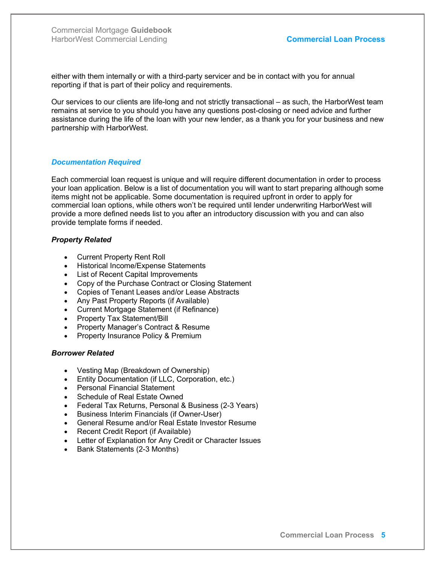either with them internally or with a third-party servicer and be in contact with you for annual reporting if that is part of their policy and requirements.

Our services to our clients are life-long and not strictly transactional – as such, the HarborWest team remains at service to you should you have any questions post-closing or need advice and further assistance during the life of the loan with your new lender, as a thank you for your business and new partnership with HarborWest.

#### Documentation Required

Each commercial loan request is unique and will require different documentation in order to process your loan application. Below is a list of documentation you will want to start preparing although some items might not be applicable. Some documentation is required upfront in order to apply for commercial loan options, while others won't be required until lender underwriting HarborWest will provide a more defined needs list to you after an introductory discussion with you and can also provide template forms if needed.

#### Property Related

- Current Property Rent Roll
- Historical Income/Expense Statements
- List of Recent Capital Improvements
- Copy of the Purchase Contract or Closing Statement
- Copies of Tenant Leases and/or Lease Abstracts
- Any Past Property Reports (if Available)
- Current Mortgage Statement (if Refinance)
- Property Tax Statement/Bill
- Property Manager's Contract & Resume
- Property Insurance Policy & Premium

#### Borrower Related

- Vesting Map (Breakdown of Ownership)
- **Entity Documentation (if LLC, Corporation, etc.)**
- Personal Financial Statement
- Schedule of Real Estate Owned
- Federal Tax Returns, Personal & Business (2-3 Years)
- Business Interim Financials (if Owner-User)
- General Resume and/or Real Estate Investor Resume
- Recent Credit Report (if Available)
- Letter of Explanation for Any Credit or Character Issues
- Bank Statements (2-3 Months)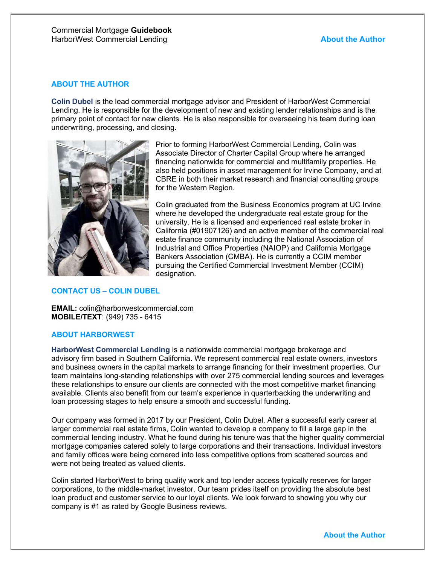### ABOUT THE AUTHOR

Colin Dubel is the lead commercial mortgage advisor and President of HarborWest Commercial Lending. He is responsible for the development of new and existing lender relationships and is the primary point of contact for new clients. He is also responsible for overseeing his team during loan underwriting, processing, and closing.



Prior to forming HarborWest Commercial Lending, Colin was Associate Director of Charter Capital Group where he arranged financing nationwide for commercial and multifamily properties. He also held positions in asset management for Irvine Company, and at CBRE in both their market research and financial consulting groups for the Western Region.

Colin graduated from the Business Economics program at UC Irvine where he developed the undergraduate real estate group for the university. He is a licensed and experienced real estate broker in California (#01907126) and an active member of the commercial real estate finance community including the National Association of Industrial and Office Properties (NAIOP) and California Mortgage Bankers Association (CMBA). He is currently a CCIM member pursuing the Certified Commercial Investment Member (CCIM) designation.

### CONTACT US – COLIN DUBEL

EMAIL: colin@harborwestcommercial.com MOBILE/TEXT: (949) 735 - 6415

#### ABOUT HARBORWEST

HarborWest Commercial Lending is a nationwide commercial mortgage brokerage and advisory firm based in Southern California. We represent commercial real estate owners, investors and business owners in the capital markets to arrange financing for their investment properties. Our team maintains long-standing relationships with over 275 commercial lending sources and leverages these relationships to ensure our clients are connected with the most competitive market financing available. Clients also benefit from our team's experience in quarterbacking the underwriting and loan processing stages to help ensure a smooth and successful funding.

Our company was formed in 2017 by our President, Colin Dubel. After a successful early career at larger commercial real estate firms, Colin wanted to develop a company to fill a large gap in the commercial lending industry. What he found during his tenure was that the higher quality commercial mortgage companies catered solely to large corporations and their transactions. Individual investors and family offices were being cornered into less competitive options from scattered sources and were not being treated as valued clients.

Colin started HarborWest to bring quality work and top lender access typically reserves for larger corporations, to the middle-market investor. Our team prides itself on providing the absolute best loan product and customer service to our loyal clients. We look forward to showing you why our company is #1 as rated by Google Business reviews.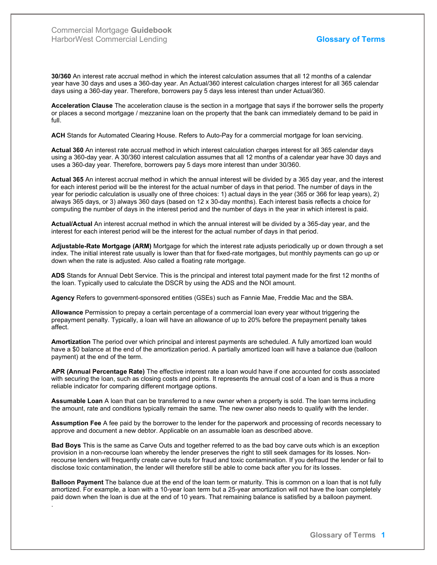.

30/360 An interest rate accrual method in which the interest calculation assumes that all 12 months of a calendar year have 30 days and uses a 360-day year. An Actual/360 interest calculation charges interest for all 365 calendar days using a 360-day year. Therefore, borrowers pay 5 days less interest than under Actual/360.

Acceleration Clause The acceleration clause is the section in a mortgage that says if the borrower sells the property or places a second mortgage / mezzanine loan on the property that the bank can immediately demand to be paid in full.

ACH Stands for Automated Clearing House. Refers to Auto-Pay for a commercial mortgage for loan servicing.

Actual 360 An interest rate accrual method in which interest calculation charges interest for all 365 calendar days using a 360-day year. A 30/360 interest calculation assumes that all 12 months of a calendar year have 30 days and uses a 360-day year. Therefore, borrowers pay 5 days more interest than under 30/360.

Actual 365 An interest accrual method in which the annual interest will be divided by a 365 day year, and the interest for each interest period will be the interest for the actual number of days in that period. The number of days in the year for periodic calculation is usually one of three choices: 1) actual days in the year (365 or 366 for leap years), 2) always 365 days, or 3) always 360 days (based on 12 x 30-day months). Each interest basis reflects a choice for computing the number of days in the interest period and the number of days in the year in which interest is paid.

Actual/Actual An interest accrual method in which the annual interest will be divided by a 365-day year, and the interest for each interest period will be the interest for the actual number of days in that period.

Adjustable-Rate Mortgage (ARM) Mortgage for which the interest rate adjusts periodically up or down through a set index. The initial interest rate usually is lower than that for fixed-rate mortgages, but monthly payments can go up or down when the rate is adjusted. Also called a floating rate mortgage.

ADS Stands for Annual Debt Service. This is the principal and interest total payment made for the first 12 months of the loan. Typically used to calculate the DSCR by using the ADS and the NOI amount.

Agency Refers to government-sponsored entities (GSEs) such as Fannie Mae, Freddie Mac and the SBA.

Allowance Permission to prepay a certain percentage of a commercial loan every year without triggering the prepayment penalty. Typically, a loan will have an allowance of up to 20% before the prepayment penalty takes affect.

Amortization The period over which principal and interest payments are scheduled. A fully amortized loan would have a \$0 balance at the end of the amortization period. A partially amortized loan will have a balance due (balloon payment) at the end of the term.

APR (Annual Percentage Rate) The effective interest rate a loan would have if one accounted for costs associated with securing the loan, such as closing costs and points. It represents the annual cost of a loan and is thus a more reliable indicator for comparing different mortgage options.

Assumable Loan A loan that can be transferred to a new owner when a property is sold. The loan terms including the amount, rate and conditions typically remain the same. The new owner also needs to qualify with the lender.

Assumption Fee A fee paid by the borrower to the lender for the paperwork and processing of records necessary to approve and document a new debtor. Applicable on an assumable loan as described above.

Bad Boys This is the same as Carve Outs and together referred to as the bad boy carve outs which is an exception provision in a non-recourse loan whereby the lender preserves the right to still seek damages for its losses. Nonrecourse lenders will frequently create carve outs for fraud and toxic contamination. If you defraud the lender or fail to disclose toxic contamination, the lender will therefore still be able to come back after you for its losses.

Balloon Payment The balance due at the end of the loan term or maturity. This is common on a loan that is not fully amortized. For example, a loan with a 10-year loan term but a 25-year amortization will not have the loan completely paid down when the loan is due at the end of 10 years. That remaining balance is satisfied by a balloon payment.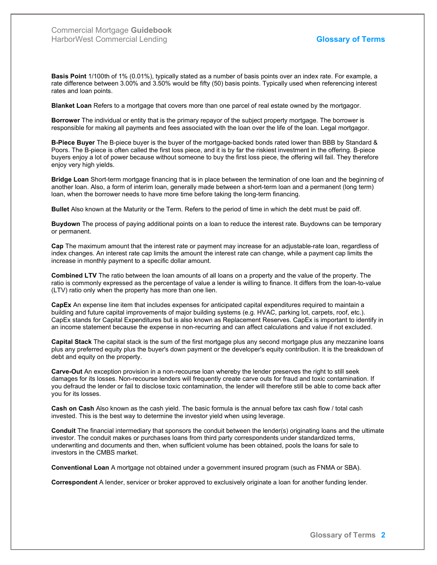Basis Point 1/100th of 1% (0.01%), typically stated as a number of basis points over an index rate. For example, a rate difference between 3.00% and 3.50% would be fifty (50) basis points. Typically used when referencing interest rates and loan points.

**Blanket Loan** Refers to a mortgage that covers more than one parcel of real estate owned by the mortgagor.

Borrower The individual or entity that is the primary repayor of the subject property mortgage. The borrower is responsible for making all payments and fees associated with the loan over the life of the loan. Legal mortgagor.

B-Piece Buyer The B-piece buyer is the buyer of the mortgage-backed bonds rated lower than BBB by Standard & Poors. The B-piece is often called the first loss piece, and it is by far the riskiest investment in the offering. B-piece buyers enjoy a lot of power because without someone to buy the first loss piece, the offering will fail. They therefore enjoy very high yields.

Bridge Loan Short-term mortgage financing that is in place between the termination of one loan and the beginning of another loan. Also, a form of interim loan, generally made between a short-term loan and a permanent (long term) loan, when the borrower needs to have more time before taking the long-term financing.

Bullet Also known at the Maturity or the Term. Refers to the period of time in which the debt must be paid off.

Buydown The process of paying additional points on a loan to reduce the interest rate. Buydowns can be temporary or permanent.

Cap The maximum amount that the interest rate or payment may increase for an adjustable-rate loan, regardless of index changes. An interest rate cap limits the amount the interest rate can change, while a payment cap limits the increase in monthly payment to a specific dollar amount.

Combined LTV The ratio between the loan amounts of all loans on a property and the value of the property. The ratio is commonly expressed as the percentage of value a lender is willing to finance. It differs from the loan-to-value (LTV) ratio only when the property has more than one lien.

CapEx An expense line item that includes expenses for anticipated capital expenditures required to maintain a building and future capital improvements of major building systems (e.g. HVAC, parking lot, carpets, roof, etc.). CapEx stands for Capital Expenditures but is also known as Replacement Reserves. CapEx is important to identify in an income statement because the expense in non-recurring and can affect calculations and value if not excluded.

Capital Stack The capital stack is the sum of the first mortgage plus any second mortgage plus any mezzanine loans plus any preferred equity plus the buyer's down payment or the developer's equity contribution. It is the breakdown of debt and equity on the property.

Carve-Out An exception provision in a non-recourse loan whereby the lender preserves the right to still seek damages for its losses. Non-recourse lenders will frequently create carve outs for fraud and toxic contamination. If you defraud the lender or fail to disclose toxic contamination, the lender will therefore still be able to come back after you for its losses.

Cash on Cash Also known as the cash yield. The basic formula is the annual before tax cash flow / total cash invested. This is the best way to determine the investor yield when using leverage.

Conduit The financial intermediary that sponsors the conduit between the lender(s) originating loans and the ultimate investor. The conduit makes or purchases loans from third party correspondents under standardized terms, underwriting and documents and then, when sufficient volume has been obtained, pools the loans for sale to investors in the CMBS market.

Conventional Loan A mortgage not obtained under a government insured program (such as FNMA or SBA).

Correspondent A lender, servicer or broker approved to exclusively originate a loan for another funding lender.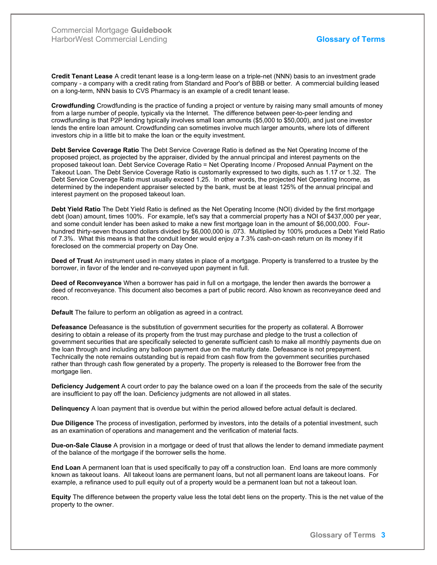Credit Tenant Lease A credit tenant lease is a long-term lease on a triple-net (NNN) basis to an investment grade company - a company with a credit rating from Standard and Poor's of BBB or better. A commercial building leased on a long-term, NNN basis to CVS Pharmacy is an example of a credit tenant lease.

Crowdfunding Crowdfunding is the practice of funding a project or venture by raising many small amounts of money from a large number of people, typically via the Internet. The difference between peer-to-peer lending and crowdfunding is that P2P lending typically involves small loan amounts (\$5,000 to \$50,000), and just one investor lends the entire loan amount. Crowdfunding can sometimes involve much larger amounts, where lots of different investors chip in a little bit to make the loan or the equity investment.

Debt Service Coverage Ratio The Debt Service Coverage Ratio is defined as the Net Operating Income of the proposed project, as projected by the appraiser, divided by the annual principal and interest payments on the proposed takeout loan. Debt Service Coverage Ratio = Net Operating Income / Proposed Annual Payment on the Takeout Loan. The Debt Service Coverage Ratio is customarily expressed to two digits, such as 1.17 or 1.32. The Debt Service Coverage Ratio must usually exceed 1.25. In other words, the projected Net Operating Income, as determined by the independent appraiser selected by the bank, must be at least 125% of the annual principal and interest payment on the proposed takeout loan.

Debt Yield Ratio The Debt Yield Ratio is defined as the Net Operating Income (NOI) divided by the first mortgage debt (loan) amount, times 100%. For example, let's say that a commercial property has a NOI of \$437,000 per year, and some conduit lender has been asked to make a new first mortgage loan in the amount of \$6,000,000. Fourhundred thirty-seven thousand dollars divided by \$6,000,000 is .073. Multiplied by 100% produces a Debt Yield Ratio of 7.3%. What this means is that the conduit lender would enjoy a 7.3% cash-on-cash return on its money if it foreclosed on the commercial property on Day One.

Deed of Trust An instrument used in many states in place of a mortgage. Property is transferred to a trustee by the borrower, in favor of the lender and re-conveyed upon payment in full.

Deed of Reconveyance When a borrower has paid in full on a mortgage, the lender then awards the borrower a deed of reconveyance. This document also becomes a part of public record. Also known as reconveyance deed and recon.

Default The failure to perform an obligation as agreed in a contract.

Defeasance Defeasance is the substitution of government securities for the property as collateral. A Borrower desiring to obtain a release of its property from the trust may purchase and pledge to the trust a collection of government securities that are specifically selected to generate sufficient cash to make all monthly payments due on the loan through and including any balloon payment due on the maturity date. Defeasance is not prepayment. Technically the note remains outstanding but is repaid from cash flow from the government securities purchased rather than through cash flow generated by a property. The property is released to the Borrower free from the mortgage lien.

Deficiency Judgement A court order to pay the balance owed on a loan if the proceeds from the sale of the security are insufficient to pay off the loan. Deficiency judgments are not allowed in all states.

Delinquency A loan payment that is overdue but within the period allowed before actual default is declared.

Due Diligence The process of investigation, performed by investors, into the details of a potential investment, such as an examination of operations and management and the verification of material facts.

Due-on-Sale Clause A provision in a mortgage or deed of trust that allows the lender to demand immediate payment of the balance of the mortgage if the borrower sells the home.

End Loan A permanent loan that is used specifically to pay off a construction loan. End loans are more commonly known as takeout loans. All takeout loans are permanent loans, but not all permanent loans are takeout loans. For example, a refinance used to pull equity out of a property would be a permanent loan but not a takeout loan.

Equity The difference between the property value less the total debt liens on the property. This is the net value of the property to the owner.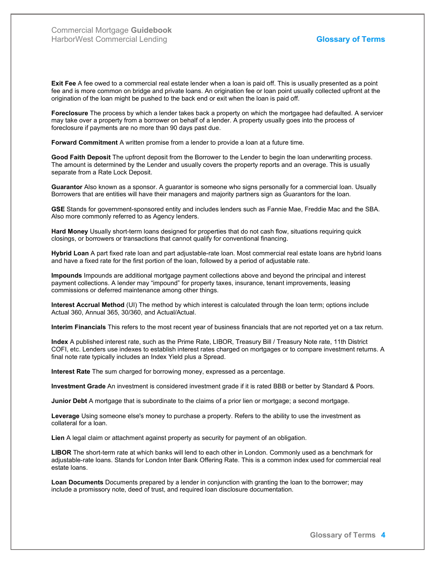Exit Fee A fee owed to a commercial real estate lender when a loan is paid off. This is usually presented as a point fee and is more common on bridge and private loans. An origination fee or loan point usually collected upfront at the origination of the loan might be pushed to the back end or exit when the loan is paid off.

Foreclosure The process by which a lender takes back a property on which the mortgagee had defaulted. A servicer may take over a property from a borrower on behalf of a lender. A property usually goes into the process of foreclosure if payments are no more than 90 days past due.

Forward Commitment A written promise from a lender to provide a loan at a future time.

Good Faith Deposit The upfront deposit from the Borrower to the Lender to begin the loan underwriting process. The amount is determined by the Lender and usually covers the property reports and an overage. This is usually separate from a Rate Lock Deposit.

Guarantor Also known as a sponsor. A guarantor is someone who signs personally for a commercial loan. Usually Borrowers that are entities will have their managers and majority partners sign as Guarantors for the loan.

GSE Stands for government-sponsored entity and includes lenders such as Fannie Mae, Freddie Mac and the SBA. Also more commonly referred to as Agency lenders.

Hard Money Usually short-term loans designed for properties that do not cash flow, situations requiring quick closings, or borrowers or transactions that cannot qualify for conventional financing.

Hybrid Loan A part fixed rate loan and part adjustable-rate loan. Most commercial real estate loans are hybrid loans and have a fixed rate for the first portion of the loan, followed by a period of adjustable rate.

Impounds Impounds are additional mortgage payment collections above and beyond the principal and interest payment collections. A lender may "impound" for property taxes, insurance, tenant improvements, leasing commissions or deferred maintenance among other things.

Interest Accrual Method (UI) The method by which interest is calculated through the loan term; options include Actual 360, Annual 365, 30/360, and Actual/Actual.

Interim Financials This refers to the most recent year of business financials that are not reported yet on a tax return.

Index A published interest rate, such as the Prime Rate, LIBOR, Treasury Bill / Treasury Note rate, 11th District COFI, etc. Lenders use indexes to establish interest rates charged on mortgages or to compare investment returns. A final note rate typically includes an Index Yield plus a Spread.

Interest Rate The sum charged for borrowing money, expressed as a percentage.

Investment Grade An investment is considered investment grade if it is rated BBB or better by Standard & Poors.

Junior Debt A mortgage that is subordinate to the claims of a prior lien or mortgage; a second mortgage.

Leverage Using someone else's money to purchase a property. Refers to the ability to use the investment as collateral for a loan.

Lien A legal claim or attachment against property as security for payment of an obligation.

LIBOR The short-term rate at which banks will lend to each other in London. Commonly used as a benchmark for adjustable-rate loans. Stands for London Inter Bank Offering Rate. This is a common index used for commercial real estate loans.

Loan Documents Documents prepared by a lender in conjunction with granting the loan to the borrower; may include a promissory note, deed of trust, and required loan disclosure documentation.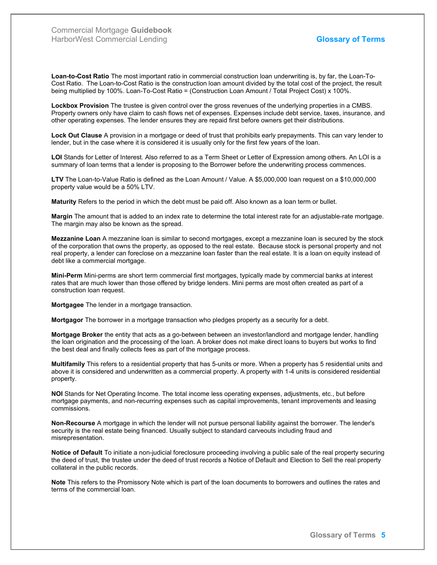Loan-to-Cost Ratio The most important ratio in commercial construction loan underwriting is, by far, the Loan-To-Cost Ratio. The Loan-to-Cost Ratio is the construction loan amount divided by the total cost of the project, the result being multiplied by 100%. Loan-To-Cost Ratio = (Construction Loan Amount / Total Project Cost) x 100%.

Lockbox Provision The trustee is given control over the gross revenues of the underlying properties in a CMBS. Property owners only have claim to cash flows net of expenses. Expenses include debt service, taxes, insurance, and other operating expenses. The lender ensures they are repaid first before owners get their distributions.

Lock Out Clause A provision in a mortgage or deed of trust that prohibits early prepayments. This can vary lender to lender, but in the case where it is considered it is usually only for the first few years of the loan.

LOI Stands for Letter of Interest. Also referred to as a Term Sheet or Letter of Expression among others. An LOI is a summary of loan terms that a lender is proposing to the Borrower before the underwriting process commences.

LTV The Loan-to-Value Ratio is defined as the Loan Amount / Value. A \$5,000,000 loan request on a \$10,000,000 property value would be a 50% LTV.

Maturity Refers to the period in which the debt must be paid off. Also known as a loan term or bullet.

Margin The amount that is added to an index rate to determine the total interest rate for an adjustable-rate mortgage. The margin may also be known as the spread.

Mezzanine Loan A mezzanine loan is similar to second mortgages, except a mezzanine loan is secured by the stock of the corporation that owns the property, as opposed to the real estate. Because stock is personal property and not real property, a lender can foreclose on a mezzanine loan faster than the real estate. It is a loan on equity instead of debt like a commercial mortgage.

Mini-Perm Mini-perms are short term commercial first mortgages, typically made by commercial banks at interest rates that are much lower than those offered by bridge lenders. Mini perms are most often created as part of a construction loan request.

Mortgagee The lender in a mortgage transaction.

**Mortgagor** The borrower in a mortgage transaction who pledges property as a security for a debt.

Mortgage Broker the entity that acts as a go-between between an investor/landlord and mortgage lender, handling the loan origination and the processing of the loan. A broker does not make direct loans to buyers but works to find the best deal and finally collects fees as part of the mortgage process.

Multifamily This refers to a residential property that has 5-units or more. When a property has 5 residential units and above it is considered and underwritten as a commercial property. A property with 1-4 units is considered residential property.

NOI Stands for Net Operating Income. The total income less operating expenses, adjustments, etc., but before mortgage payments, and non-recurring expenses such as capital improvements, tenant improvements and leasing commissions.

Non-Recourse A mortgage in which the lender will not pursue personal liability against the borrower. The lender's security is the real estate being financed. Usually subject to standard carveouts including fraud and misrepresentation.

Notice of Default To initiate a non-judicial foreclosure proceeding involving a public sale of the real property securing the deed of trust, the trustee under the deed of trust records a Notice of Default and Election to Sell the real property collateral in the public records.

Note This refers to the Promissory Note which is part of the loan documents to borrowers and outlines the rates and terms of the commercial loan.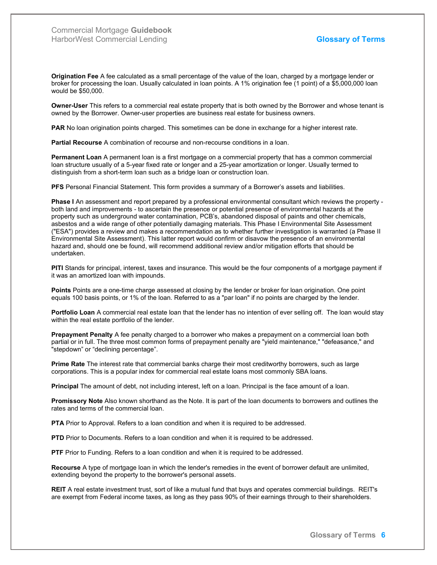Origination Fee A fee calculated as a small percentage of the value of the loan, charged by a mortgage lender or broker for processing the loan. Usually calculated in loan points. A 1% origination fee (1 point) of a \$5,000,000 loan would be \$50,000.

Owner-User This refers to a commercial real estate property that is both owned by the Borrower and whose tenant is owned by the Borrower. Owner-user properties are business real estate for business owners.

PAR No loan origination points charged. This sometimes can be done in exchange for a higher interest rate.

Partial Recourse A combination of recourse and non-recourse conditions in a loan.

Permanent Loan A permanent loan is a first mortgage on a commercial property that has a common commercial loan structure usually of a 5-year fixed rate or longer and a 25-year amortization or longer. Usually termed to distinguish from a short-term loan such as a bridge loan or construction loan.

PFS Personal Financial Statement. This form provides a summary of a Borrower's assets and liabilities.

Phase I An assessment and report prepared by a professional environmental consultant which reviews the property both land and improvements - to ascertain the presence or potential presence of environmental hazards at the property such as underground water contamination, PCB's, abandoned disposal of paints and other chemicals, asbestos and a wide range of other potentially damaging materials. This Phase I Environmental Site Assessment ("ESA") provides a review and makes a recommendation as to whether further investigation is warranted (a Phase II Environmental Site Assessment). This latter report would confirm or disavow the presence of an environmental hazard and, should one be found, will recommend additional review and/or mitigation efforts that should be undertaken.

PITI Stands for principal, interest, taxes and insurance. This would be the four components of a mortgage payment if it was an amortized loan with impounds.

Points Points are a one-time charge assessed at closing by the lender or broker for loan origination. One point equals 100 basis points, or 1% of the loan. Referred to as a "par loan" if no points are charged by the lender.

Portfolio Loan A commercial real estate loan that the lender has no intention of ever selling off. The loan would stay within the real estate portfolio of the lender.

Prepayment Penalty A fee penalty charged to a borrower who makes a prepayment on a commercial loan both partial or in full. The three most common forms of prepayment penalty are "yield maintenance," "defeasance," and "stepdown" or "declining percentage".

Prime Rate The interest rate that commercial banks charge their most creditworthy borrowers, such as large corporations. This is a popular index for commercial real estate loans most commonly SBA loans.

Principal The amount of debt, not including interest, left on a loan. Principal is the face amount of a loan.

Promissory Note Also known shorthand as the Note. It is part of the loan documents to borrowers and outlines the rates and terms of the commercial loan.

PTA Prior to Approval. Refers to a loan condition and when it is required to be addressed.

**PTD** Prior to Documents. Refers to a loan condition and when it is required to be addressed.

PTF Prior to Funding. Refers to a loan condition and when it is required to be addressed.

Recourse A type of mortgage loan in which the lender's remedies in the event of borrower default are unlimited, extending beyond the property to the borrower's personal assets.

REIT A real estate investment trust, sort of like a mutual fund that buys and operates commercial buildings. REIT's are exempt from Federal income taxes, as long as they pass 90% of their earnings through to their shareholders.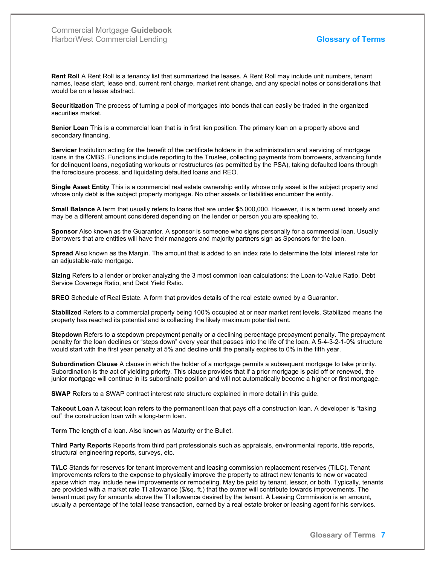Rent Roll A Rent Roll is a tenancy list that summarized the leases. A Rent Roll may include unit numbers, tenant names, lease start, lease end, current rent charge, market rent change, and any special notes or considerations that would be on a lease abstract.

Securitization The process of turning a pool of mortgages into bonds that can easily be traded in the organized securities market.

Senior Loan This is a commercial loan that is in first lien position. The primary loan on a property above and secondary financing.

Servicer Institution acting for the benefit of the certificate holders in the administration and servicing of mortgage loans in the CMBS. Functions include reporting to the Trustee, collecting payments from borrowers, advancing funds for delinquent loans, negotiating workouts or restructures (as permitted by the PSA), taking defaulted loans through the foreclosure process, and liquidating defaulted loans and REO.

Single Asset Entity This is a commercial real estate ownership entity whose only asset is the subject property and whose only debt is the subject property mortgage. No other assets or liabilities encumber the entity.

Small Balance A term that usually refers to loans that are under \$5,000,000. However, it is a term used loosely and may be a different amount considered depending on the lender or person you are speaking to.

Sponsor Also known as the Guarantor. A sponsor is someone who signs personally for a commercial loan. Usually Borrowers that are entities will have their managers and majority partners sign as Sponsors for the loan.

Spread Also known as the Margin. The amount that is added to an index rate to determine the total interest rate for an adjustable-rate mortgage.

Sizing Refers to a lender or broker analyzing the 3 most common loan calculations: the Loan-to-Value Ratio, Debt Service Coverage Ratio, and Debt Yield Ratio.

SREO Schedule of Real Estate. A form that provides details of the real estate owned by a Guarantor.

Stabilized Refers to a commercial property being 100% occupied at or near market rent levels. Stabilized means the property has reached its potential and is collecting the likely maximum potential rent.

Stepdown Refers to a stepdown prepayment penalty or a declining percentage prepayment penalty. The prepayment penalty for the loan declines or "steps down" every year that passes into the life of the loan. A 5-4-3-2-1-0% structure would start with the first year penalty at 5% and decline until the penalty expires to 0% in the fifth year.

Subordination Clause A clause in which the holder of a mortgage permits a subsequent mortgage to take priority. Subordination is the act of yielding priority. This clause provides that if a prior mortgage is paid off or renewed, the junior mortgage will continue in its subordinate position and will not automatically become a higher or first mortgage.

SWAP Refers to a SWAP contract interest rate structure explained in more detail in this guide.

Takeout Loan A takeout loan refers to the permanent loan that pays off a construction loan. A developer is "taking out" the construction loan with a long-term loan.

Term The length of a loan. Also known as Maturity or the Bullet.

Third Party Reports Reports from third part professionals such as appraisals, environmental reports, title reports, structural engineering reports, surveys, etc.

TI/LC Stands for reserves for tenant improvement and leasing commission replacement reserves (TILC). Tenant Improvements refers to the expense to physically improve the property to attract new tenants to new or vacated space which may include new improvements or remodeling. May be paid by tenant, lessor, or both. Typically, tenants are provided with a market rate TI allowance (\$/sq. ft.) that the owner will contribute towards improvements. The tenant must pay for amounts above the TI allowance desired by the tenant. A Leasing Commission is an amount, usually a percentage of the total lease transaction, earned by a real estate broker or leasing agent for his services.